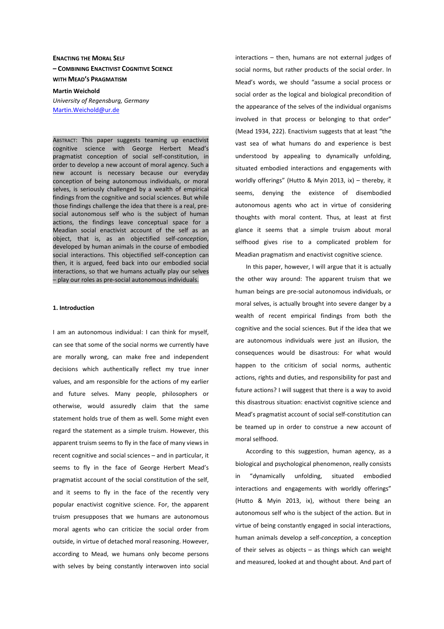# **ENACTING THE MORAL SELF – COMBINING ENACTIVIST COGNITIVE SCIENCE WITH MEAD'S PRAGMATISM**

**Martin Weichold**  *University of Regensburg, Germany*  Martin.Weichold@ur.de

ABSTRACT: This paper suggests teaming up enactivist cognitive science with George Herbert Mead's pragmatist conception of social self-constitution, in order to develop a new account of moral agency. Such a new account is necessary because our everyday conception of being autonomous individuals, or moral selves, is seriously challenged by a wealth of empirical findings from the cognitive and social sciences. But while those findings challenge the idea that there is a real, presocial autonomous self who is the subject of human actions, the findings leave conceptual space for a Meadian social enactivist account of the self as an object, that is, as an objectified self-*conception*, developed by human animals in the course of embodied social interactions. This objectified self-conception can then, it is argued, feed back into our embodied social interactions, so that we humans actually play our selves – play our roles as pre-social autonomous individuals.

#### **1. Introduction**

I am an autonomous individual: I can think for myself, can see that some of the social norms we currently have are morally wrong, can make free and independent decisions which authentically reflect my true inner values, and am responsible for the actions of my earlier and future selves. Many people, philosophers or otherwise, would assuredly claim that the same statement holds true of them as well. Some might even regard the statement as a simple truism. However, this apparent truism seems to fly in the face of many views in recent cognitive and social sciences – and in particular, it seems to fly in the face of George Herbert Mead's pragmatist account of the social constitution of the self, and it seems to fly in the face of the recently very popular enactivist cognitive science. For, the apparent truism presupposes that we humans are autonomous moral agents who can criticize the social order from outside, in virtue of detached moral reasoning. However, according to Mead, we humans only become persons with selves by being constantly interwoven into social interactions – then, humans are not external judges of social norms, but rather products of the social order. In Mead's words, we should "assume a social process or social order as the logical and biological precondition of the appearance of the selves of the individual organisms involved in that process or belonging to that order" (Mead 1934, 222). Enactivism suggests that at least "the vast sea of what humans do and experience is best understood by appealing to dynamically unfolding, situated embodied interactions and engagements with worldly offerings" (Hutto & Myin 2013, ix) – thereby, it seems, denying the existence of disembodied autonomous agents who act in virtue of considering thoughts with moral content. Thus, at least at first glance it seems that a simple truism about moral selfhood gives rise to a complicated problem for Meadian pragmatism and enactivist cognitive science.

In this paper, however, I will argue that it is actually the other way around: The apparent truism that we human beings are pre-social autonomous individuals, or moral selves, is actually brought into severe danger by a wealth of recent empirical findings from both the cognitive and the social sciences. But if the idea that we are autonomous individuals were just an illusion, the consequences would be disastrous: For what would happen to the criticism of social norms, authentic actions, rights and duties, and responsibility for past and future actions? I will suggest that there is a way to avoid this disastrous situation: enactivist cognitive science and Mead's pragmatist account of social self-constitution can be teamed up in order to construe a new account of moral selfhood.

According to this suggestion, human agency, as a biological and psychological phenomenon, really consists in "dynamically unfolding, situated embodied interactions and engagements with worldly offerings" (Hutto & Myin 2013, ix), without there being an autonomous self who is the subject of the action. But in virtue of being constantly engaged in social interactions, human animals develop a self-*conception*, a conception of their selves as objects – as things which can weight and measured, looked at and thought about. And part of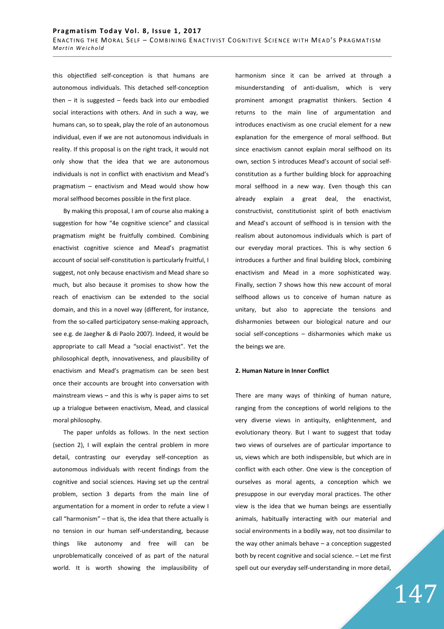this objectified self-conception is that humans are autonomous individuals. This detached self-conception then  $-$  it is suggested  $-$  feeds back into our embodied social interactions with others. And in such a way, we humans can, so to speak, play the role of an autonomous individual, even if we are not autonomous individuals in reality. If this proposal is on the right track, it would not only show that the idea that we are autonomous individuals is not in conflict with enactivism and Mead's pragmatism – enactivism and Mead would show how moral selfhood becomes possible in the first place.

By making this proposal, I am of course also making a suggestion for how "4e cognitive science" and classical pragmatism might be fruitfully combined. Combining enactivist cognitive science and Mead's pragmatist account of social self-constitution is particularly fruitful, I suggest, not only because enactivism and Mead share so much, but also because it promises to show how the reach of enactivism can be extended to the social domain, and this in a novel way (different, for instance, from the so-called participatory sense-making approach, see e.g. de Jaegher & di Paolo 2007). Indeed, it would be appropriate to call Mead a "social enactivist". Yet the philosophical depth, innovativeness, and plausibility of enactivism and Mead's pragmatism can be seen best once their accounts are brought into conversation with mainstream views – and this is why is paper aims to set up a trialogue between enactivism, Mead, and classical moral philosophy.

The paper unfolds as follows. In the next section (section 2), I will explain the central problem in more detail, contrasting our everyday self-conception as autonomous individuals with recent findings from the cognitive and social sciences. Having set up the central problem, section 3 departs from the main line of argumentation for a moment in order to refute a view I call "harmonism" – that is, the idea that there actually is no tension in our human self-understanding, because things like autonomy and free will can be unproblematically conceived of as part of the natural world. It is worth showing the implausibility of harmonism since it can be arrived at through a misunderstanding of anti-dualism, which is very prominent amongst pragmatist thinkers. Section 4 returns to the main line of argumentation and introduces enactivism as one crucial element for a new explanation for the emergence of moral selfhood. But since enactivism cannot explain moral selfhood on its own, section 5 introduces Mead's account of social selfconstitution as a further building block for approaching moral selfhood in a new way. Even though this can already explain a great deal, the enactivist, constructivist, constitutionist spirit of both enactivism and Mead's account of selfhood is in tension with the realism about autonomous individuals which is part of our everyday moral practices. This is why section 6 introduces a further and final building block, combining enactivism and Mead in a more sophisticated way. Finally, section 7 shows how this new account of moral selfhood allows us to conceive of human nature as unitary, but also to appreciate the tensions and disharmonies between our biological nature and our social self-conceptions – disharmonies which make us the beings we are.

# **2. Human Nature in Inner Conflict**

There are many ways of thinking of human nature, ranging from the conceptions of world religions to the very diverse views in antiquity, enlightenment, and evolutionary theory. But I want to suggest that today two views of ourselves are of particular importance to us, views which are both indispensible, but which are in conflict with each other. One view is the conception of ourselves as moral agents, a conception which we presuppose in our everyday moral practices. The other view is the idea that we human beings are essentially animals, habitually interacting with our material and social environments in a bodily way, not too dissimilar to the way other animals behave – a conception suggested both by recent cognitive and social science. – Let me first spell out our everyday self-understanding in more detail,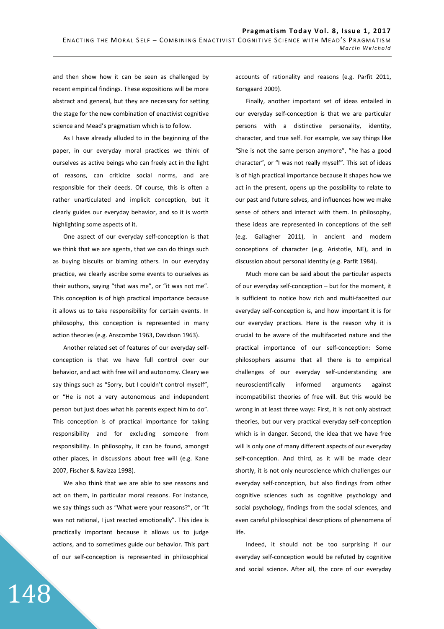and then show how it can be seen as challenged by recent empirical findings. These expositions will be more abstract and general, but they are necessary for setting the stage for the new combination of enactivist cognitive science and Mead's pragmatism which is to follow.

As I have already alluded to in the beginning of the paper, in our everyday moral practices we think of ourselves as active beings who can freely act in the light of reasons, can criticize social norms, and are responsible for their deeds. Of course, this is often a rather unarticulated and implicit conception, but it clearly guides our everyday behavior, and so it is worth highlighting some aspects of it.

One aspect of our everyday self-conception is that we think that we are agents, that we can do things such as buying biscuits or blaming others. In our everyday practice, we clearly ascribe some events to ourselves as their authors, saying "that was me", or "it was not me". This conception is of high practical importance because it allows us to take responsibility for certain events. In philosophy, this conception is represented in many action theories (e.g. Anscombe 1963, Davidson 1963).

Another related set of features of our everyday selfconception is that we have full control over our behavior, and act with free will and autonomy. Cleary we say things such as "Sorry, but I couldn't control myself", or "He is not a very autonomous and independent person but just does what his parents expect him to do". This conception is of practical importance for taking responsibility and for excluding someone from responsibility. In philosophy, it can be found, amongst other places, in discussions about free will (e.g. Kane 2007, Fischer & Ravizza 1998).

We also think that we are able to see reasons and act on them, in particular moral reasons. For instance, we say things such as "What were your reasons?", or "It was not rational. I just reacted emotionally". This idea is practically important because it allows us to judge actions, and to sometimes guide our behavior. This part of our self-conception is represented in philosophical

148

accounts of rationality and reasons (e.g. Parfit 2011, Korsgaard 2009).

Finally, another important set of ideas entailed in our everyday self-conception is that we are particular persons with a distinctive personality, identity, character, and true self. For example, we say things like "She is not the same person anymore", "he has a good character", or "I was not really myself". This set of ideas is of high practical importance because it shapes how we act in the present, opens up the possibility to relate to our past and future selves, and influences how we make sense of others and interact with them. In philosophy, these ideas are represented in conceptions of the self (e.g. Gallagher 2011), in ancient and modern conceptions of character (e.g. Aristotle, NE), and in discussion about personal identity (e.g. Parfit 1984).

Much more can be said about the particular aspects of our everyday self-conception – but for the moment, it is sufficient to notice how rich and multi-facetted our everyday self-conception is, and how important it is for our everyday practices. Here is the reason why it is crucial to be aware of the multifaceted nature and the practical importance of our self-conception: Some philosophers assume that all there is to empirical challenges of our everyday self-understanding are neuroscientifically informed arguments against incompatibilist theories of free will. But this would be wrong in at least three ways: First, it is not only abstract theories, but our very practical everyday self-conception which is in danger. Second, the idea that we have free will is only one of many different aspects of our everyday self-conception. And third, as it will be made clear shortly, it is not only neuroscience which challenges our everyday self-conception, but also findings from other cognitive sciences such as cognitive psychology and social psychology, findings from the social sciences, and even careful philosophical descriptions of phenomena of life.

Indeed, it should not be too surprising if our everyday self-conception would be refuted by cognitive and social science. After all, the core of our everyday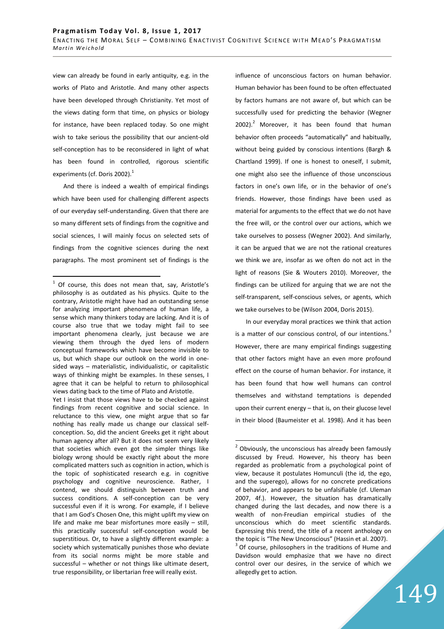view can already be found in early antiquity, e.g. in the works of Plato and Aristotle. And many other aspects have been developed through Christianity. Yet most of the views dating form that time, on physics or biology for instance, have been replaced today. So one might wish to take serious the possibility that our ancient-old self-conception has to be reconsidered in light of what has been found in controlled, rigorous scientific experiments (cf. Doris 2002).<sup>1</sup>

And there is indeed a wealth of empirical findings which have been used for challenging different aspects of our everyday self-understanding. Given that there are so many different sets of findings from the cognitive and social sciences, I will mainly focus on selected sets of findings from the cognitive sciences during the next paragraphs. The most prominent set of findings is the

Yet I insist that those views have to be checked against findings from recent cognitive and social science. In reluctance to this view, one might argue that so far nothing has really made us change our classical selfconception. So, did the ancient Greeks get it right about human agency after all? But it does not seem very likely that societies which even got the simpler things like biology wrong should be exactly right about the more complicated matters such as cognition in action, which is the topic of sophisticated research e.g. in cognitive psychology and cognitive neuroscience. Rather, I contend, we should distinguish between truth and success conditions. A self-conception can be very successful even if it is wrong. For example, if I believe that I am God's Chosen One, this might uplift my view on life and make me bear misfortunes more easily – still, this practically successful self-conception would be superstitious. Or, to have a slightly different example: a society which systematically punishes those who deviate from its social norms might be more stable and successful – whether or not things like ultimate desert, true responsibility, or libertarian free will really exist.

influence of unconscious factors on human behavior. Human behavior has been found to be often effectuated by factors humans are not aware of, but which can be successfully used for predicting the behavior (Wegner 2002). $^2$  Moreover, it has been found that human behavior often proceeds "automatically" and habitually, without being guided by conscious intentions (Bargh & Chartland 1999). If one is honest to oneself, I submit, one might also see the influence of those unconscious factors in one's own life, or in the behavior of one's friends. However, those findings have been used as material for arguments to the effect that we do not have the free will, or the control over our actions, which we take ourselves to possess (Wegner 2002). And similarly, it can be argued that we are not the rational creatures we think we are, insofar as we often do not act in the light of reasons (Sie & Wouters 2010). Moreover, the findings can be utilized for arguing that we are not the self-transparent, self-conscious selves, or agents, which we take ourselves to be (Wilson 2004, Doris 2015).

In our everyday moral practices we think that action is a matter of our conscious control, of our intentions. $3$ However, there are many empirical findings suggesting that other factors might have an even more profound effect on the course of human behavior. For instance, it has been found that how well humans can control themselves and withstand temptations is depended upon their current energy – that is, on their glucose level in their blood (Baumeister et al. 1998). And it has been

<sup>1</sup> Of course, this does not mean that, say, Aristotle's philosophy is as outdated as his physics. Quite to the contrary, Aristotle might have had an outstanding sense for analyzing important phenomena of human life, a sense which many thinkers today are lacking. And it is of course also true that we today might fail to see important phenomena clearly, just because we are viewing them through the dyed lens of modern conceptual frameworks which have become invisible to us, but which shape our outlook on the world in onesided ways – materialistic, individualistic, or capitalistic ways of thinking might be examples. In these senses, I agree that it can be helpful to return to philosophical views dating back to the time of Plato and Aristotle.

erand constant of the unconscious has already been famously a bottowing objects the unconstruction of the mously  $\frac{1}{2}$ discussed by Freud. However, his theory has been regarded as problematic from a psychological point of view, because it postulates Homunculi (the id, the ego, and the superego), allows for no concrete predications of behavior, and appears to be unfalsifiable (cf. Uleman 2007, 4f.). However, the situation has dramatically changed during the last decades, and now there is a wealth of non-Freudian empirical studies of the unconscious which do meet scientific standards. Expressing this trend, the title of a recent anthology on the topic is "The New Unconscious" (Hassin et al. 2007).

 $3$  Of course, philosophers in the traditions of Hume and Davidson would emphasize that we have no direct control over our desires, in the service of which we allegedly get to action.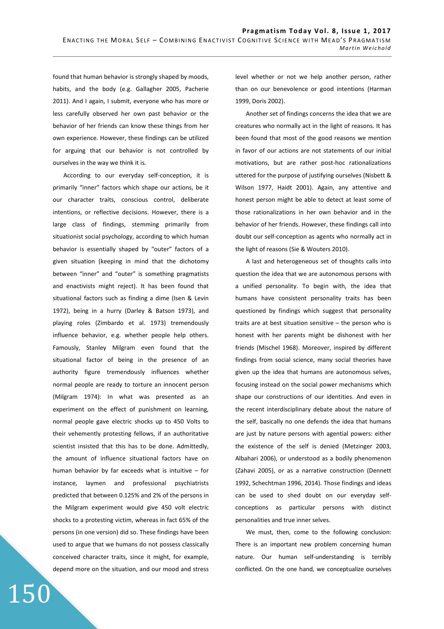found that human behavior is strongly shaped by moods, habits, and the body (e.g. Gallagher 2005, Pacherie 2011). And I again, I submit, everyone who has more or less carefully observed her own past behavior or the behavior of her friends can know these things from her own experience. However, these findings can be utilized for arguing that our behavior is not controlled by ourselves in the way we think it is.

According to our everyday self-conception, it is primarily "inner" factors which shape our actions, be it our character traits, conscious control, deliberate intentions, or reflective decisions. However, there is a large class of findings, stemming primarily from situationist social psychology, according to which human behavior is essentially shaped by "outer" factors of a given situation (keeping in mind that the dichotomy between "inner" and "outer" is something pragmatists and enactivists might reject). It has been found that situational factors such as finding a dime (Isen & Levin 1972), being in a hurry (Darley & Batson 1973), and playing roles (Zimbardo et al. 1973) tremendously influence behavior, e.g. whether people help others. Famously, Stanley Milgram even found that the situational factor of being in the presence of an authority figure tremendously influences whether normal people are ready to torture an innocent person (Milgram 1974): In what was presented as an experiment on the effect of punishment on learning, normal people gave electric shocks up to 450 Volts to their vehemently protesting fellows, if an authoritative scientist insisted that this has to be done. Admittedly, the amount of influence situational factors have on human behavior by far exceeds what is intuitive – for instance, laymen and professional psychiatrists predicted that between 0.125% and 2% of the persons in the Milgram experiment would give 450 volt electric shocks to a protesting victim, whereas in fact 65% of the persons (in one version) did so. These findings have been used to argue that we humans do not possess classically conceived character traits, since it might, for example, depend more on the situation, and our mood and stress

150

level whether or not we help another person, rather than on our benevolence or good intentions (Harman 1999, Doris 2002).

Another set of findings concerns the idea that we are creatures who normally act in the light of reasons. It has been found that most of the good reasons we mention in favor of our actions are not statements of our initial motivations, but are rather post-hoc rationalizations uttered for the purpose of justifying ourselves (Nisbett & Wilson 1977, Haidt 2001). Again, any attentive and honest person might be able to detect at least some of those rationalizations in her own behavior and in the behavior of her friends. However, these findings call into doubt our self-conception as agents who normally act in the light of reasons (Sie & Wouters 2010).

A last and heterogeneous set of thoughts calls into question the idea that we are autonomous persons with a unified personality. To begin with, the idea that humans have consistent personality traits has been questioned by findings which suggest that personality traits are at best situation sensitive – the person who is honest with her parents might be dishonest with her friends (Mischel 1968). Moreover, inspired by different findings from social science, many social theories have given up the idea that humans are autonomous selves, focusing instead on the social power mechanisms which shape our constructions of our identities. And even in the recent interdisciplinary debate about the nature of the self, basically no one defends the idea that humans are just by nature persons with agential powers: either the existence of the self is denied (Metzinger 2003, Albahari 2006), or understood as a bodily phenomenon (Zahavi 2005), or as a narrative construction (Dennett 1992, Schechtman 1996, 2014). Those findings and ideas can be used to shed doubt on our everyday selfconceptions as particular persons with distinct personalities and true inner selves.

We must, then, come to the following conclusion: There is an important new problem concerning human nature. Our human self-understanding is terribly conflicted. On the one hand, we conceptualize ourselves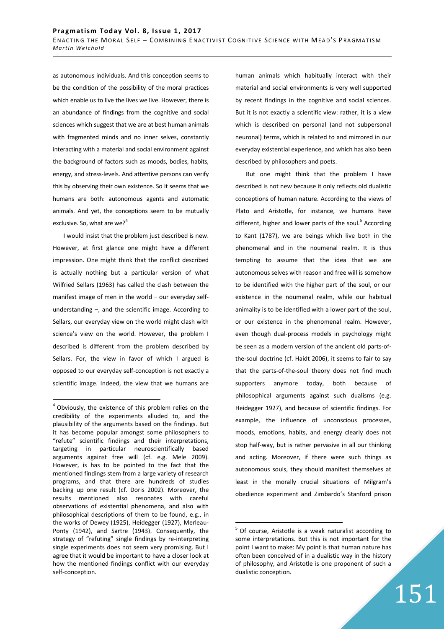as autonomous individuals. And this conception seems to be the condition of the possibility of the moral practices which enable us to live the lives we live. However, there is an abundance of findings from the cognitive and social sciences which suggest that we are at best human animals with fragmented minds and no inner selves, constantly interacting with a material and social environment against the background of factors such as moods, bodies, habits, energy, and stress-levels. And attentive persons can verify this by observing their own existence. So it seems that we humans are both: autonomous agents and automatic animals. And yet, the conceptions seem to be mutually exclusive. So, what are we?<sup>4</sup>

I would insist that the problem just described is new. However, at first glance one might have a different impression. One might think that the conflict described is actually nothing but a particular version of what Wilfried Sellars (1963) has called the clash between the manifest image of men in the world – our everyday selfunderstanding –, and the scientific image. According to Sellars, our everyday view on the world might clash with science's view on the world. However, the problem I described is different from the problem described by Sellars. For, the view in favor of which I argued is opposed to our everyday self-conception is not exactly a scientific image. Indeed, the view that we humans are

 $\overline{a}$ 

human animals which habitually interact with their material and social environments is very well supported by recent findings in the cognitive and social sciences. But it is not exactly a scientific view: rather, it is a view which is described on personal (and not subpersonal neuronal) terms, which is related to and mirrored in our everyday existential experience, and which has also been described by philosophers and poets.

But one might think that the problem I have described is not new because it only reflects old dualistic conceptions of human nature. According to the views of Plato and Aristotle, for instance, we humans have different, higher and lower parts of the soul.<sup>5</sup> According to Kant (1787), we are beings which live both in the phenomenal and in the noumenal realm. It is thus tempting to assume that the idea that we are autonomous selves with reason and free will is somehow to be identified with the higher part of the soul, or our existence in the noumenal realm, while our habitual animality is to be identified with a lower part of the soul, or our existence in the phenomenal realm. However, even though dual-process models in psychology might be seen as a modern version of the ancient old parts-ofthe-soul doctrine (cf. Haidt 2006), it seems to fair to say that the parts-of-the-soul theory does not find much supporters anymore today, both because of philosophical arguments against such dualisms (e.g. Heidegger 1927), and because of scientific findings. For example, the influence of unconscious processes, moods, emotions, habits, and energy clearly does not stop half-way, but is rather pervasive in all our thinking and acting. Moreover, if there were such things as autonomous souls, they should manifest themselves at least in the morally crucial situations of Milgram's obedience experiment and Zimbardo's Stanford prison

 $\overline{a}$ 

151

 $4$  Obviously, the existence of this problem relies on the credibility of the experiments alluded to, and the plausibility of the arguments based on the findings. But it has become popular amongst some philosophers to "refute" scientific findings and their interpretations, targeting in particular neuroscientifically based arguments against free will (cf. e.g. Mele 2009). However, is has to be pointed to the fact that the mentioned findings stem from a large variety of research programs, and that there are hundreds of studies backing up one result (cf. Doris 2002). Moreover, the results mentioned also resonates with careful observations of existential phenomena, and also with philosophical descriptions of them to be found, e.g., in the works of Dewey (1925), Heidegger (1927), Merleau-Ponty (1942), and Sartre (1943). Consequently, the strategy of "refuting" single findings by re-interpreting single experiments does not seem very promising. But I agree that it would be important to have a closer look at how the mentioned findings conflict with our everyday self-conception.

 $5$  Of course, Aristotle is a weak naturalist according to some interpretations. But this is not important for the point I want to make: My point is that human nature has often been conceived of in a dualistic way in the history of philosophy, and Aristotle is one proponent of such a dualistic conception.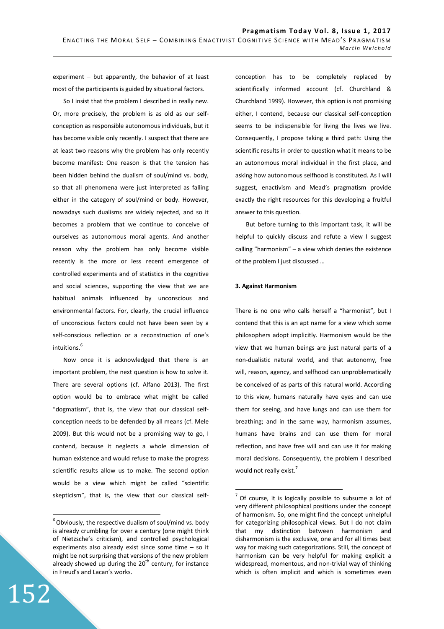experiment – but apparently, the behavior of at least most of the participants is guided by situational factors.

So I insist that the problem I described in really new. Or, more precisely, the problem is as old as our selfconception as responsible autonomous individuals, but it has become visible only recently. I suspect that there are at least two reasons why the problem has only recently become manifest: One reason is that the tension has been hidden behind the dualism of soul/mind vs. body, so that all phenomena were just interpreted as falling either in the category of soul/mind or body. However, nowadays such dualisms are widely rejected, and so it becomes a problem that we continue to conceive of ourselves as autonomous moral agents. And another reason why the problem has only become visible recently is the more or less recent emergence of controlled experiments and of statistics in the cognitive and social sciences, supporting the view that we are habitual animals influenced by unconscious and environmental factors. For, clearly, the crucial influence of unconscious factors could not have been seen by a self-conscious reflection or a reconstruction of one's intuitions.<sup>6</sup>

Now once it is acknowledged that there is an important problem, the next question is how to solve it. There are several options (cf. Alfano 2013). The first option would be to embrace what might be called "dogmatism", that is, the view that our classical selfconception needs to be defended by all means (cf. Mele 2009). But this would not be a promising way to go, I contend, because it neglects a whole dimension of human existence and would refuse to make the progress scientific results allow us to make. The second option would be a view which might be called "scientific skepticism", that is, the view that our classical self-

152

 $\overline{a}$ 

conception has to be completely replaced by scientifically informed account (cf. Churchland & Churchland 1999). However, this option is not promising either, I contend, because our classical self-conception seems to be indispensible for living the lives we live. Consequently, I propose taking a third path: Using the scientific results in order to question what it means to be an autonomous moral individual in the first place, and asking how autonomous selfhood is constituted. As I will suggest, enactivism and Mead's pragmatism provide exactly the right resources for this developing a fruitful answer to this question.

But before turning to this important task, it will be helpful to quickly discuss and refute a view I suggest calling "harmonism" – a view which denies the existence of the problem I just discussed …

#### **3. Against Harmonism**

 $\overline{a}$ 

There is no one who calls herself a "harmonist", but I contend that this is an apt name for a view which some philosophers adopt implicitly. Harmonism would be the view that we human beings are just natural parts of a non-dualistic natural world, and that autonomy, free will, reason, agency, and selfhood can unproblematically be conceived of as parts of this natural world. According to this view, humans naturally have eyes and can use them for seeing, and have lungs and can use them for breathing; and in the same way, harmonism assumes, humans have brains and can use them for moral reflection, and have free will and can use it for making moral decisions. Consequently, the problem I described would not really exist.<sup>7</sup>

 $6$  Obviously, the respective dualism of soul/mind vs. body is already crumbling for over a century (one might think of Nietzsche's criticism), and controlled psychological experiments also already exist since some time – so it might be not surprising that versions of the new problem already showed up during the  $20<sup>th</sup>$  century, for instance in Freud's and Lacan's works.

 $<sup>7</sup>$  Of course, it is logically possible to subsume a lot of</sup> very different philosophical positions under the concept of harmonism. So, one might find the concept unhelpful for categorizing philosophical views. But I do not claim that my distinction between harmonism and disharmonism is the exclusive, one and for all times best way for making such categorizations. Still, the concept of harmonism can be very helpful for making explicit a widespread, momentous, and non-trivial way of thinking which is often implicit and which is sometimes even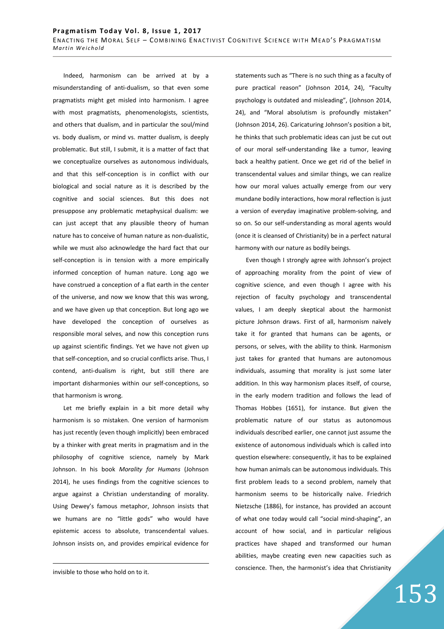Indeed, harmonism can be arrived at by a misunderstanding of anti-dualism, so that even some pragmatists might get misled into harmonism. I agree with most pragmatists, phenomenologists, scientists, and others that dualism, and in particular the soul/mind vs. body dualism, or mind vs. matter dualism, is deeply problematic. But still, I submit, it is a matter of fact that we conceptualize ourselves as autonomous individuals, and that this self-conception is in conflict with our biological and social nature as it is described by the cognitive and social sciences. But this does not presuppose any problematic metaphysical dualism: we can just accept that any plausible theory of human nature has to conceive of human nature as non-dualistic, while we must also acknowledge the hard fact that our self-conception is in tension with a more empirically informed conception of human nature. Long ago we have construed a conception of a flat earth in the center of the universe, and now we know that this was wrong, and we have given up that conception. But long ago we have developed the conception of ourselves as responsible moral selves, and now this conception runs up against scientific findings. Yet we have not given up that self-conception, and so crucial conflicts arise. Thus, I contend, anti-dualism is right, but still there are important disharmonies within our self-conceptions, so that harmonism is wrong.

Let me briefly explain in a bit more detail why harmonism is so mistaken. One version of harmonism has just recently (even though implicitly) been embraced by a thinker with great merits in pragmatism and in the philosophy of cognitive science, namely by Mark Johnson. In his book *Morality for Humans* (Johnson 2014), he uses findings from the cognitive sciences to argue against a Christian understanding of morality. Using Dewey's famous metaphor, Johnson insists that we humans are no "little gods" who would have epistemic access to absolute, transcendental values. Johnson insists on, and provides empirical evidence for

<u>.</u>

statements such as "There is no such thing as a faculty of pure practical reason" (Johnson 2014, 24), "Faculty psychology is outdated and misleading", (Johnson 2014, 24), and "Moral absolutism is profoundly mistaken" (Johnson 2014, 26). Caricaturing Johnson's position a bit, he thinks that such problematic ideas can just be cut out of our moral self-understanding like a tumor, leaving back a healthy patient. Once we get rid of the belief in transcendental values and similar things, we can realize how our moral values actually emerge from our very mundane bodily interactions, how moral reflection is just a version of everyday imaginative problem-solving, and so on. So our self-understanding as moral agents would (once it is cleansed of Christianity) be in a perfect natural harmony with our nature as bodily beings.

Even though I strongly agree with Johnson's project of approaching morality from the point of view of cognitive science, and even though I agree with his rejection of faculty psychology and transcendental values, I am deeply skeptical about the harmonist picture Johnson draws. First of all, harmonism naïvely take it for granted that humans can be agents, or persons, or selves, with the ability to think. Harmonism just takes for granted that humans are autonomous individuals, assuming that morality is just some later addition. In this way harmonism places itself, of course, in the early modern tradition and follows the lead of Thomas Hobbes (1651), for instance. But given the problematic nature of our status as autonomous individuals described earlier, one cannot just assume the existence of autonomous individuals which is called into question elsewhere: consequently, it has to be explained how human animals can be autonomous individuals. This first problem leads to a second problem, namely that harmonism seems to be historically naïve. Friedrich Nietzsche (1886), for instance, has provided an account of what one today would call "social mind-shaping", an account of how social, and in particular religious practices have shaped and transformed our human abilities, maybe creating even new capacities such as conscience. Then, the harmonist's idea that Christianity

153

invisible to those who hold on to it.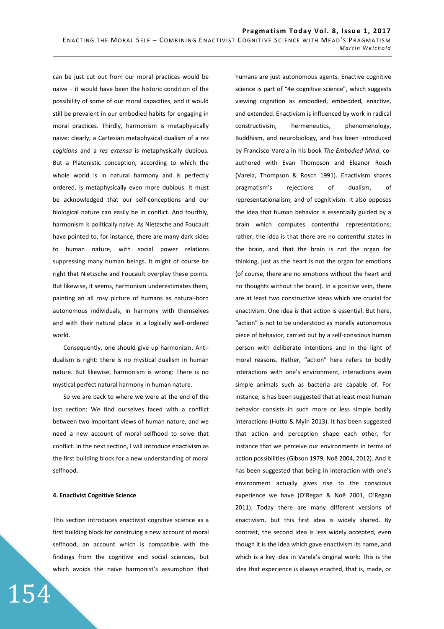can be just cut out from our moral practices would be naïve – it would have been the historic condition of the possibility of some of our moral capacities, and it would still be prevalent in our embodied habits for engaging in moral practices. Thirdly, harmonism is metaphysically naïve: clearly, a Cartesian metaphysical dualism of a *res cogitians* and a *res extensa* is metaphysically dubious. But a Platonistic conception, according to which the whole world is in natural harmony and is perfectly ordered, is metaphysically even more dubious. It must be acknowledged that our self-conceptions and our biological nature can easily be in conflict. And fourthly, harmonism is politically naïve. As Nietzsche and Foucault have pointed to, for instance, there are many dark sides to human nature, with social power relations suppressing many human beings. It might of course be right that Nietzsche and Foucault overplay these points. But likewise, it seems, harmonism underestimates them, painting an all rosy picture of humans as natural-born autonomous individuals, in harmony with themselves and with their natural place in a logically well-ordered world.

Consequently, one should give up harmonism. Antidualism is right: there is no mystical dualism in human nature. But likewise, harmonism is wrong: There is no mystical perfect natural harmony in human nature.

So we are back to where we were at the end of the last section: We find ourselves faced with a conflict between two important views of human nature, and we need a new account of moral selfhood to solve that conflict. In the next section, I will introduce enactivism as the first building block for a new understanding of moral selfhood.

# **4. Enactivist Cognitive Science**

154

This section introduces enactivist cognitive science as a first building block for construing a new account of moral selfhood, an account which is compatible with the findings from the cognitive and social sciences, but which avoids the naïve harmonist's assumption that humans are just autonomous agents. Enactive cognitive science is part of "4e cognitive science", which suggests viewing cognition as embodied, embedded, enactive, and extended. Enactivism is influenced by work in radical constructivism, hermeneutics, phenomenology, Buddhism, and neurobiology, and has been introduced by Francisco Varela in his book *The Embodied Mind*, coauthored with Evan Thompson and Eleanor Rosch (Varela, Thompson & Rosch 1991). Enactivism shares pragmatism's rejections of dualism, of representationalism, and of cognitivism. It also opposes the idea that human behavior is essentially guided by a brain which computes contentful representations; rather, the idea is that there are no contentful states in the brain, and that the brain is not the organ for thinking, just as the heart is not the organ for emotions (of course, there are no emotions without the heart and no thoughts without the brain). In a positive vein, there are at least two constructive ideas which are crucial for enactivism. One idea is that action is essential. But here, "action" is not to be understood as morally autonomous piece of behavior, carried out by a self-conscious human person with deliberate intentions and in the light of moral reasons. Rather, "action" here refers to bodily interactions with one's environment, interactions even simple animals such as bacteria are capable of. For instance, is has been suggested that at least most human behavior consists in such more or less simple bodily interactions (Hutto & Myin 2013). It has been suggested that action and perception shape each other, for instance that we perceive our environments in terms of action possibilities (Gibson 1979, Noë 2004, 2012). And it has been suggested that being in interaction with one's environment actually gives rise to the conscious experience we have (O'Regan & Noë 2001, O'Regan 2011). Today there are many different versions of enactivism, but this first idea is widely shared. By contrast, the second idea is less widely accepted, even though it is the idea which gave enactivism its name, and which is a key idea in Varela's original work: This is the idea that experience is always enacted, that is, made, or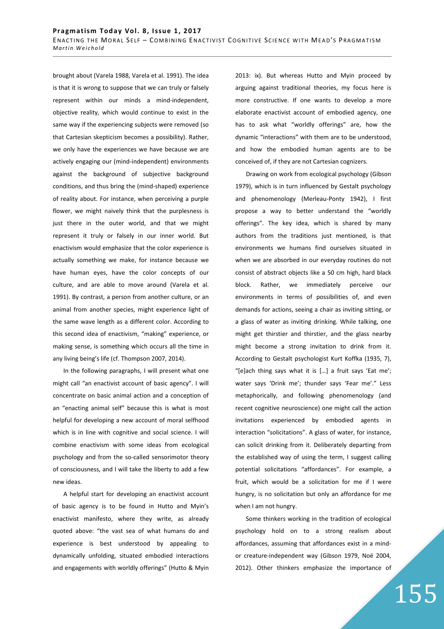brought about (Varela 1988, Varela et al. 1991). The idea is that it is wrong to suppose that we can truly or falsely represent within our minds a mind-independent, objective reality, which would continue to exist in the same way if the experiencing subjects were removed (so that Cartesian skepticism becomes a possibility). Rather, we only have the experiences we have because we are actively engaging our (mind-independent) environments against the background of subjective background conditions, and thus bring the (mind-shaped) experience of reality about. For instance, when perceiving a purple flower, we might naively think that the purplesness is just there in the outer world, and that we might represent it truly or falsely in our inner world. But enactivism would emphasize that the color experience is actually something we make, for instance because we have human eyes, have the color concepts of our culture, and are able to move around (Varela et al. 1991). By contrast, a person from another culture, or an animal from another species, might experience light of the same wave length as a different color. According to this second idea of enactivism, "making" experience, or making sense, is something which occurs all the time in any living being's life (cf. Thompson 2007, 2014).

In the following paragraphs, I will present what one might call "an enactivist account of basic agency". I will concentrate on basic animal action and a conception of an "enacting animal self" because this is what is most helpful for developing a new account of moral selfhood which is in line with cognitive and social science. I will combine enactivism with some ideas from ecological psychology and from the so-called sensorimotor theory of consciousness, and I will take the liberty to add a few new ideas.

A helpful start for developing an enactivist account of basic agency is to be found in Hutto and Myin's enactivist manifesto, where they write, as already quoted above: "the vast sea of what humans do and experience is best understood by appealing to dynamically unfolding, situated embodied interactions and engagements with worldly offerings" (Hutto & Myin 2013: ix). But whereas Hutto and Myin proceed by arguing against traditional theories, my focus here is more constructive. If one wants to develop a more elaborate enactivist account of embodied agency, one has to ask what "worldly offerings" are, how the dynamic "interactions" with them are to be understood, and how the embodied human agents are to be conceived of, if they are not Cartesian cognizers.

Drawing on work from ecological psychology (Gibson 1979), which is in turn influenced by Gestalt psychology and phenomenology (Merleau-Ponty 1942), I first propose a way to better understand the "worldly offerings". The key idea, which is shared by many authors from the traditions just mentioned, is that environments we humans find ourselves situated in when we are absorbed in our everyday routines do not consist of abstract objects like a 50 cm high, hard black block. Rather, we immediately perceive our environments in terms of possibilities of, and even demands for actions, seeing a chair as inviting sitting, or a glass of water as inviting drinking. While talking, one might get thirstier and thirstier, and the glass nearby might become a strong invitation to drink from it. According to Gestalt psychologist Kurt Koffka (1935, 7), "[e]ach thing says what it is […] a fruit says 'Eat me'; water says 'Drink me'; thunder says 'Fear me'." Less metaphorically, and following phenomenology (and recent cognitive neuroscience) one might call the action invitations experienced by embodied agents in interaction "solicitations". A glass of water, for instance, can solicit drinking from it. Deliberately departing from the established way of using the term, I suggest calling potential solicitations "affordances". For example, a fruit, which would be a solicitation for me if I were hungry, is no solicitation but only an affordance for me when I am not hungry.

Some thinkers working in the tradition of ecological psychology hold on to a strong realism about affordances, assuming that affordances exist in a mindor creature-independent way (Gibson 1979, Noë 2004, 2012). Other thinkers emphasize the importance of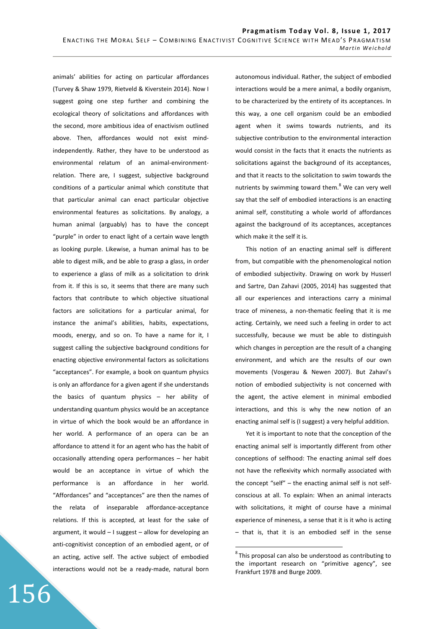animals' abilities for acting on particular affordances (Turvey & Shaw 1979, Rietveld & Kiverstein 2014). Now I suggest going one step further and combining the ecological theory of solicitations and affordances with the second, more ambitious idea of enactivism outlined above. Then, affordances would not exist mindindependently. Rather, they have to be understood as environmental relatum of an animal-environmentrelation. There are, I suggest, subjective background conditions of a particular animal which constitute that that particular animal can enact particular objective environmental features as solicitations. By analogy, a human animal (arguably) has to have the concept "purple" in order to enact light of a certain wave length as looking purple. Likewise, a human animal has to be able to digest milk, and be able to grasp a glass, in order to experience a glass of milk as a solicitation to drink from it. If this is so, it seems that there are many such factors that contribute to which objective situational factors are solicitations for a particular animal, for instance the animal's abilities, habits, expectations, moods, energy, and so on. To have a name for it, I suggest calling the subjective background conditions for enacting objective environmental factors as solicitations "acceptances". For example, a book on quantum physics is only an affordance for a given agent if she understands the basics of quantum physics – her ability of understanding quantum physics would be an acceptance in virtue of which the book would be an affordance in her world. A performance of an opera can be an affordance to attend it for an agent who has the habit of occasionally attending opera performances – her habit would be an acceptance in virtue of which the performance is an affordance in her world. "Affordances" and "acceptances" are then the names of the relata of inseparable affordance-acceptance relations. If this is accepted, at least for the sake of argument, it would – I suggest – allow for developing an anti-cognitivist conception of an embodied agent, or of an acting, active self. The active subject of embodied interactions would not be a ready-made, natural born

156

autonomous individual. Rather, the subject of embodied interactions would be a mere animal, a bodily organism, to be characterized by the entirety of its acceptances. In this way, a one cell organism could be an embodied agent when it swims towards nutrients, and its subjective contribution to the environmental interaction would consist in the facts that it enacts the nutrients as solicitations against the background of its acceptances, and that it reacts to the solicitation to swim towards the nutrients by swimming toward them. $8$  We can very well say that the self of embodied interactions is an enacting animal self, constituting a whole world of affordances against the background of its acceptances, acceptances which make it the self it is.

This notion of an enacting animal self is different from, but compatible with the phenomenological notion of embodied subjectivity. Drawing on work by Husserl and Sartre, Dan Zahavi (2005, 2014) has suggested that all our experiences and interactions carry a minimal trace of mineness, a non-thematic feeling that it is me acting. Certainly, we need such a feeling in order to act successfully, because we must be able to distinguish which changes in perception are the result of a changing environment, and which are the results of our own movements (Vosgerau & Newen 2007). But Zahavi's notion of embodied subjectivity is not concerned with the agent, the active element in minimal embodied interactions, and this is why the new notion of an enacting animal self is (I suggest) a very helpful addition.

Yet it is important to note that the conception of the enacting animal self is importantly different from other conceptions of selfhood: The enacting animal self does not have the reflexivity which normally associated with the concept "self" – the enacting animal self is not selfconscious at all. To explain: When an animal interacts with solicitations, it might of course have a minimal experience of mineness, a sense that it is it who is acting – that is, that it is an embodied self in the sense

 $\overline{a}$ 

 $8$ This proposal can also be understood as contributing to the important research on "primitive agency", see Frankfurt 1978 and Burge 2009.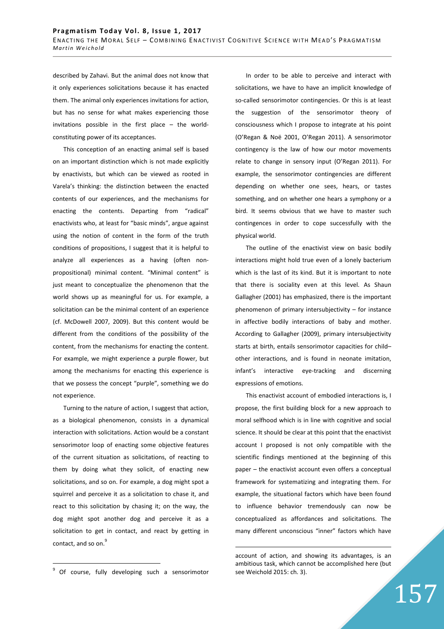described by Zahavi. But the animal does not know that it only experiences solicitations because it has enacted them. The animal only experiences invitations for action, but has no sense for what makes experiencing those invitations possible in the first place – the worldconstituting power of its acceptances.

This conception of an enacting animal self is based on an important distinction which is not made explicitly by enactivists, but which can be viewed as rooted in Varela's thinking: the distinction between the enacted contents of our experiences, and the mechanisms for enacting the contents. Departing from "radical" enactivists who, at least for "basic minds", argue against using the notion of content in the form of the truth conditions of propositions, I suggest that it is helpful to analyze all experiences as a having (often nonpropositional) minimal content. "Minimal content" is just meant to conceptualize the phenomenon that the world shows up as meaningful for us. For example, a solicitation can be the minimal content of an experience (cf. McDowell 2007, 2009). But this content would be different from the conditions of the possibility of the content, from the mechanisms for enacting the content. For example, we might experience a purple flower, but among the mechanisms for enacting this experience is that we possess the concept "purple", something we do not experience.

Turning to the nature of action, I suggest that action, as a biological phenomenon, consists in a dynamical interaction with solicitations. Action would be a constant sensorimotor loop of enacting some objective features of the current situation as solicitations, of reacting to them by doing what they solicit, of enacting new solicitations, and so on. For example, a dog might spot a squirrel and perceive it as a solicitation to chase it, and react to this solicitation by chasing it; on the way, the dog might spot another dog and perceive it as a solicitation to get in contact, and react by getting in contact, and so on.<sup>9</sup>

 $\overline{a}$ 

In order to be able to perceive and interact with solicitations, we have to have an implicit knowledge of so-called sensorimotor contingencies. Or this is at least the suggestion of the sensorimotor theory of consciousness which I propose to integrate at his point (O'Regan & Noë 2001, O'Regan 2011). A sensorimotor contingency is the law of how our motor movements relate to change in sensory input (O'Regan 2011). For example, the sensorimotor contingencies are different depending on whether one sees, hears, or tastes something, and on whether one hears a symphony or a bird. It seems obvious that we have to master such contingences in order to cope successfully with the physical world.

The outline of the enactivist view on basic bodily interactions might hold true even of a lonely bacterium which is the last of its kind. But it is important to note that there is sociality even at this level. As Shaun Gallagher (2001) has emphasized, there is the important phenomenon of primary intersubjectivity – for instance in affective bodily interactions of baby and mother. According to Gallagher (2009), primary intersubjectivity starts at birth, entails sensorimotor capacities for child– other interactions, and is found in neonate imitation, infant's interactive eye-tracking and discerning expressions of emotions.

This enactivist account of embodied interactions is, I propose, the first building block for a new approach to moral selfhood which is in line with cognitive and social science. It should be clear at this point that the enactivist account I proposed is not only compatible with the scientific findings mentioned at the beginning of this paper – the enactivist account even offers a conceptual framework for systematizing and integrating them. For example, the situational factors which have been found to influence behavior tremendously can now be conceptualized as affordances and solicitations. The many different unconscious "inner" factors which have

 $\overline{a}$ 

<sup>&</sup>lt;sup>9</sup> Of course, fully developing such a sensorimotor

account of action, and showing its advantages, is an ambitious task, which cannot be accomplished here (but see Weichold 2015: ch. 3).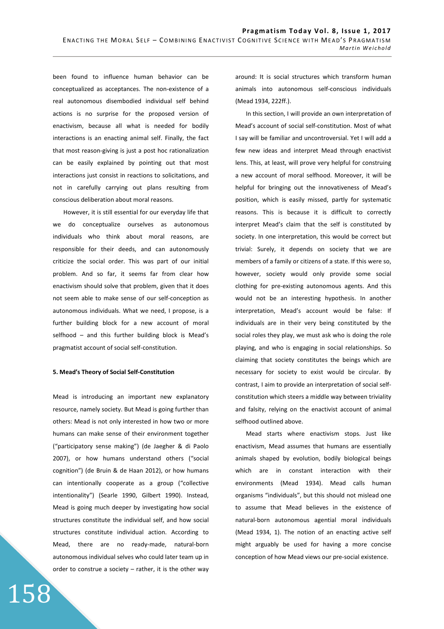been found to influence human behavior can be conceptualized as acceptances. The non-existence of a real autonomous disembodied individual self behind actions is no surprise for the proposed version of enactivism, because all what is needed for bodily interactions is an enacting animal self. Finally, the fact that most reason-giving is just a post hoc rationalization can be easily explained by pointing out that most interactions just consist in reactions to solicitations, and not in carefully carrying out plans resulting from conscious deliberation about moral reasons.

However, it is still essential for our everyday life that we do conceptualize ourselves as autonomous individuals who think about moral reasons, are responsible for their deeds, and can autonomously criticize the social order. This was part of our initial problem. And so far, it seems far from clear how enactivism should solve that problem, given that it does not seem able to make sense of our self-conception as autonomous individuals. What we need, I propose, is a further building block for a new account of moral selfhood – and this further building block is Mead's pragmatist account of social self-constitution.

### **5. Mead's Theory of Social Self-Constitution**

Mead is introducing an important new explanatory resource, namely society. But Mead is going further than others: Mead is not only interested in how two or more humans can make sense of their environment together ("participatory sense making") (de Jaegher & di Paolo 2007), or how humans understand others ("social cognition") (de Bruin & de Haan 2012), or how humans can intentionally cooperate as a group ("collective intentionality") (Searle 1990, Gilbert 1990). Instead, Mead is going much deeper by investigating how social structures constitute the individual self, and how social structures constitute individual action. According to Mead, there are no ready-made, natural-born autonomous individual selves who could later team up in order to construe a society – rather, it is the other way

158

around: It is social structures which transform human animals into autonomous self-conscious individuals (Mead 1934, 222ff.).

In this section, I will provide an own interpretation of Mead's account of social self-constitution. Most of what I say will be familiar and uncontroversial. Yet I will add a few new ideas and interpret Mead through enactivist lens. This, at least, will prove very helpful for construing a new account of moral selfhood. Moreover, it will be helpful for bringing out the innovativeness of Mead's position, which is easily missed, partly for systematic reasons. This is because it is difficult to correctly interpret Mead's claim that the self is constituted by society. In one interpretation, this would be correct but trivial: Surely, it depends on society that we are members of a family or citizens of a state. If this were so, however, society would only provide some social clothing for pre-existing autonomous agents. And this would not be an interesting hypothesis. In another interpretation, Mead's account would be false: If individuals are in their very being constituted by the social roles they play, we must ask who is doing the role playing, and who is engaging in social relationships. So claiming that society constitutes the beings which are necessary for society to exist would be circular. By contrast, I aim to provide an interpretation of social selfconstitution which steers a middle way between triviality and falsity, relying on the enactivist account of animal selfhood outlined above.

Mead starts where enactivism stops. Just like enactivism, Mead assumes that humans are essentially animals shaped by evolution, bodily biological beings which are in constant interaction with their environments (Mead 1934). Mead calls human organisms "individuals", but this should not mislead one to assume that Mead believes in the existence of natural-born autonomous agential moral individuals (Mead 1934, 1). The notion of an enacting active self might arguably be used for having a more concise conception of how Mead views our pre-social existence.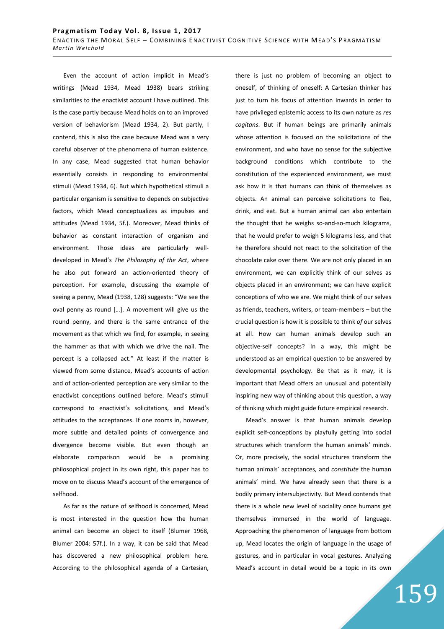Even the account of action implicit in Mead's writings (Mead 1934, Mead 1938) bears striking similarities to the enactivist account I have outlined. This is the case partly because Mead holds on to an improved version of behaviorism (Mead 1934, 2). But partly, I contend, this is also the case because Mead was a very careful observer of the phenomena of human existence. In any case, Mead suggested that human behavior essentially consists in responding to environmental stimuli (Mead 1934, 6). But which hypothetical stimuli a particular organism is sensitive to depends on subjective factors, which Mead conceptualizes as impulses and attitudes (Mead 1934, 5f.). Moreover, Mead thinks of behavior as constant interaction of organism and environment. Those ideas are particularly welldeveloped in Mead's *The Philosophy of the Act*, where he also put forward an action-oriented theory of perception. For example, discussing the example of seeing a penny, Mead (1938, 128) suggests: "We see the oval penny as round […]. A movement will give us the round penny, and there is the same entrance of the movement as that which we find, for example, in seeing the hammer as that with which we drive the nail. The percept is a collapsed act." At least if the matter is viewed from some distance, Mead's accounts of action and of action-oriented perception are very similar to the enactivist conceptions outlined before. Mead's stimuli correspond to enactivist's solicitations, and Mead's attitudes to the acceptances. If one zooms in, however, more subtle and detailed points of convergence and divergence become visible. But even though an elaborate comparison would be a promising philosophical project in its own right, this paper has to move on to discuss Mead's account of the emergence of selfhood.

As far as the nature of selfhood is concerned, Mead is most interested in the question how the human animal can become an object to itself (Blumer 1968, Blumer 2004: 57f.). In a way, it can be said that Mead has discovered a new philosophical problem here. According to the philosophical agenda of a Cartesian, there is just no problem of becoming an object to oneself, of thinking of oneself: A Cartesian thinker has just to turn his focus of attention inwards in order to have privileged epistemic access to its own nature as *res cogitans*. But if human beings are primarily animals whose attention is focused on the solicitations of the environment, and who have no sense for the subjective background conditions which contribute to the constitution of the experienced environment, we must ask how it is that humans can think of themselves as objects. An animal can perceive solicitations to flee, drink, and eat. But a human animal can also entertain the thought that he weighs so-and-so-much kilograms, that he would prefer to weigh 5 kilograms less, and that he therefore should not react to the solicitation of the chocolate cake over there. We are not only placed in an environment, we can explicitly think of our selves as objects placed in an environment; we can have explicit conceptions of who we are. We might think of our selves as friends, teachers, writers, or team-members – but the crucial question is how it is possible to think *of* our selves at all. How can human animals develop such an objective-self concepts? In a way, this might be understood as an empirical question to be answered by developmental psychology. Be that as it may, it is important that Mead offers an unusual and potentially inspiring new way of thinking about this question, a way of thinking which might guide future empirical research.

Mead's answer is that human animals develop explicit self-conceptions by playfully getting into social structures which transform the human animals' minds. Or, more precisely, the social structures transform the human animals' acceptances, and *constitute* the human animals' mind. We have already seen that there is a bodily primary intersubjectivity. But Mead contends that there is a whole new level of sociality once humans get themselves immersed in the world of language. Approaching the phenomenon of language from bottom up, Mead locates the origin of language in the usage of gestures, and in particular in vocal gestures. Analyzing Mead's account in detail would be a topic in its own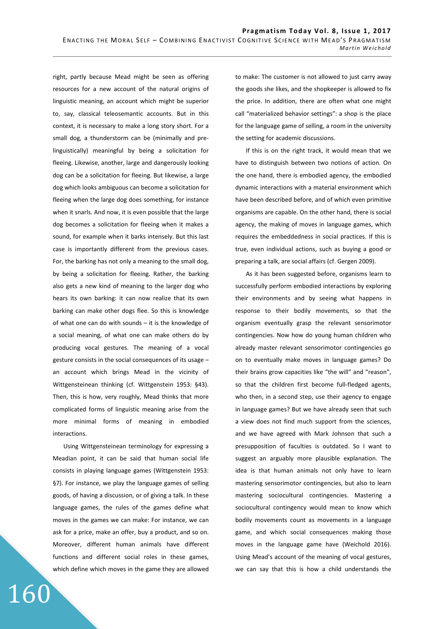right, partly because Mead might be seen as offering resources for a new account of the natural origins of linguistic meaning, an account which might be superior to, say, classical teleosemantic accounts. But in this context, it is necessary to make a long story short. For a small dog, a thunderstorm can be (minimally and prelinguistically) meaningful by being a solicitation for fleeing. Likewise, another, large and dangerously looking dog can be a solicitation for fleeing. But likewise, a large dog which looks ambiguous can become a solicitation for fleeing when the large dog does something, for instance when it snarls. And now, it is even possible that the large dog becomes a solicitation for fleeing when it makes a sound, for example when it barks intensely. But this last case is importantly different from the previous cases. For, the barking has not only a meaning to the small dog, by being a solicitation for fleeing. Rather, the barking also gets a new kind of meaning to the larger dog who hears its own barking: it can now realize that its own barking can make other dogs flee. So this is knowledge of what one can do with sounds – it is the knowledge of a social meaning, of what one can make others do by producing vocal gestures. The meaning of a vocal gesture consists in the social consequences of its usage – an account which brings Mead in the vicinity of Wittgensteinean thinking (cf. Wittgenstein 1953: §43). Then, this is how, very roughly, Mead thinks that more complicated forms of linguistic meaning arise from the more minimal forms of meaning in embodied interactions.

Using Wittgensteinean terminology for expressing a Meadian point, it can be said that human social life consists in playing language games (Wittgenstein 1953: §7). For instance, we play the language games of selling goods, of having a discussion, or of giving a talk. In these language games, the rules of the games define what moves in the games we can make: For instance, we can ask for a price, make an offer, buy a product, and so on. Moreover, different human animals have different functions and different social roles in these games, which define which moves in the game they are allowed

160

to make: The customer is not allowed to just carry away the goods she likes, and the shopkeeper is allowed to fix the price. In addition, there are often what one might call "materialized behavior settings": a shop is the place for the language game of selling, a room in the university the setting for academic discussions.

If this is on the right track, it would mean that we have to distinguish between two notions of action. On the one hand, there is embodied agency, the embodied dynamic interactions with a material environment which have been described before, and of which even primitive organisms are capable. On the other hand, there is social agency, the making of moves in language games, which requires the embeddedness in social practices. If this is true, even individual actions, such as buying a good or preparing a talk, are social affairs (cf. Gergen 2009).

As it has been suggested before, organisms learn to successfully perform embodied interactions by exploring their environments and by seeing what happens in response to their bodily movements, so that the organism eventually grasp the relevant sensorimotor contingencies. Now how do young human children who already master relevant sensorimotor contingencies go on to eventually make moves in language games? Do their brains grow capacities like "the will" and "reason", so that the children first become full-fledged agents, who then, in a second step, use their agency to engage in language games? But we have already seen that such a view does not find much support from the sciences, and we have agreed with Mark Johnson that such a presupposition of faculties is outdated. So I want to suggest an arguably more plausible explanation. The idea is that human animals not only have to learn mastering sensorimotor contingencies, but also to learn mastering sociocultural contingencies. Mastering a sociocultural contingency would mean to know which bodily movements count as movements in a language game, and which social consequences making those moves in the language game have (Weichold 2016). Using Mead's account of the meaning of vocal gestures, we can say that this is how a child understands the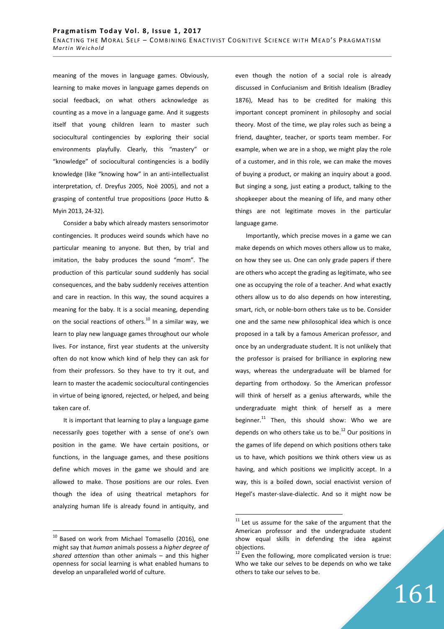meaning of the moves in language games. Obviously, learning to make moves in language games depends on social feedback, on what others acknowledge as counting as a move in a language game. And it suggests itself that young children learn to master such sociocultural contingencies by exploring their social environments playfully. Clearly, this "mastery" or "knowledge" of sociocultural contingencies is a bodily knowledge (like "knowing how" in an anti-intellectualist interpretation, cf. Dreyfus 2005, Noë 2005), and not a grasping of contentful true propositions (*pace* Hutto & Myin 2013, 24-32).

Consider a baby which already masters sensorimotor contingencies. It produces weird sounds which have no particular meaning to anyone. But then, by trial and imitation, the baby produces the sound "mom". The production of this particular sound suddenly has social consequences, and the baby suddenly receives attention and care in reaction. In this way, the sound acquires a meaning for the baby. It is a social meaning, depending on the social reactions of others. $^{10}$  In a similar way, we learn to play new language games throughout our whole lives. For instance, first year students at the university often do not know which kind of help they can ask for from their professors. So they have to try it out, and learn to master the academic sociocultural contingencies in virtue of being ignored, rejected, or helped, and being taken care of.

It is important that learning to play a language game necessarily goes together with a sense of one's own position in the game. We have certain positions, or functions, in the language games, and these positions define which moves in the game we should and are allowed to make. Those positions are our roles. Even though the idea of using theatrical metaphors for analyzing human life is already found in antiquity, and

 $\overline{a}$ 

even though the notion of a social role is already discussed in Confucianism and British Idealism (Bradley 1876), Mead has to be credited for making this important concept prominent in philosophy and social theory. Most of the time, we play roles such as being a friend, daughter, teacher, or sports team member. For example, when we are in a shop, we might play the role of a customer, and in this role, we can make the moves of buying a product, or making an inquiry about a good. But singing a song, just eating a product, talking to the shopkeeper about the meaning of life, and many other things are not legitimate moves in the particular language game.

Importantly, which precise moves in a game we can make depends on which moves others allow us to make, on how they see us. One can only grade papers if there are others who accept the grading as legitimate, who see one as occupying the role of a teacher. And what exactly others allow us to do also depends on how interesting, smart, rich, or noble-born others take us to be. Consider one and the same new philosophical idea which is once proposed in a talk by a famous American professor, and once by an undergraduate student. It is not unlikely that the professor is praised for brilliance in exploring new ways, whereas the undergraduate will be blamed for departing from orthodoxy. So the American professor will think of herself as a genius afterwards, while the undergraduate might think of herself as a mere beginner. $^{11}$  Then, this should show: Who we are depends on who others take us to be. $^{12}$  Our positions in the games of life depend on which positions others take us to have, which positions we think others view us as having, and which positions we implicitly accept. In a way, this is a boiled down, social enactivist version of Hegel's master-slave-dialectic. And so it might now be

 $\overline{a}$ 

161

 $10$  Based on work from Michael Tomasello (2016), one might say that *human* animals possess a *higher degree of shared attention* than other animals – and this higher openness for social learning is what enabled humans to develop an unparalleled world of culture.

 $11$  Let us assume for the sake of the argument that the American professor and the undergraduate student show equal skills in defending the idea against objections.

 $12$  Even the following, more complicated version is true: Who we take our selves to be depends on who we take others to take our selves to be.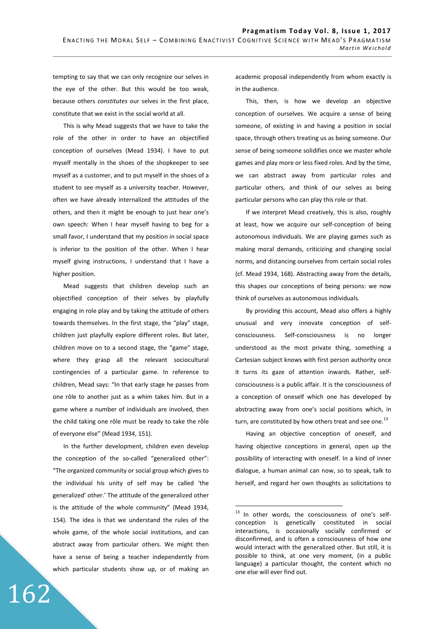tempting to say that we can only recognize our selves in the eye of the other. But this would be too weak, because others *constitutes* our selves in the first place, constitute that we exist in the social world at all.

This is why Mead suggests that we have to take the role of the other in order to have an objectified conception of ourselves (Mead 1934). I have to put myself mentally in the shoes of the shopkeeper to see myself as a customer, and to put myself in the shoes of a student to see myself as a university teacher. However, often we have already internalized the attitudes of the others, and then it might be enough to just hear one's own speech: When I hear myself having to beg for a small favor, I understand that my position in social space is inferior to the position of the other. When I hear myself giving instructions, I understand that I have a higher position.

Mead suggests that children develop such an objectified conception of their selves by playfully engaging in role play and by taking the attitude of others towards themselves. In the first stage, the "play" stage, children just playfully explore different roles. But later, children move on to a second stage, the "game" stage, where they grasp all the relevant sociocultural contingencies of a particular game. In reference to children, Mead says: "In that early stage he passes from one rôle to another just as a whim takes him. But in a game where a number of individuals are involved, then the child taking one rôle must be ready to take the rôle of everyone else" (Mead 1934, 151).

In the further development, children even develop the conception of the so-called "generalized other": "The organized community or social group which gives to the individual his unity of self may be called 'the generalized' other.' The attitude of the generalized other is the attitude of the whole community" (Mead 1934, 154). The idea is that we understand the rules of the whole game, of the whole social institutions, and can abstract away from particular others. We might then have a sense of being a teacher independently from which particular students show up, or of making an

162

academic proposal independently from whom exactly is in the audience.

This, then, is how we develop an objective conception of ourselves. We acquire a sense of being someone, of existing in and having a position in social space, through others treating us as being someone. Our sense of being someone solidifies once we master whole games and play more or less fixed roles. And by the time, we can abstract away from particular roles and particular others, and think of our selves as being particular persons who can play this role or that.

If we interpret Mead creatively, this is also, roughly at least, how we acquire our self-conception of being autonomous individuals. We are playing games such as making moral demands, criticizing and changing social norms, and distancing ourselves from certain social roles (cf. Mead 1934, 168). Abstracting away from the details, this shapes our conceptions of being persons: we now think of ourselves as autonomous individuals.

By providing this account, Mead also offers a highly unusual and very innovate conception of selfconsciousness. Self-consciousness is no longer understood as the most private thing, something a Cartesian subject knows with first person authority once it turns its gaze of attention inwards. Rather, selfconsciousness is a public affair. It is the consciousness of a conception of oneself which one has developed by abstracting away from one's social positions which, in turn, are constituted by how others treat and see one.<sup>13</sup>

Having an objective conception of oneself, and having objective conceptions in general, open up the possibility of interacting with oneself. In a kind of inner dialogue, a human animal can now, so to speak, talk to herself, and regard her own thoughts as solicitations to

 $\overline{a}$ 

 $^{13}$  In other words, the consciousness of one's selfconception is genetically constituted in social interactions, is occasionally socially confirmed or disconfirmed, and is often a consciousness of how one would interact with the generalized other. But still, it is possible to think, at one very moment, (in a public language) a particular thought, the content which no one else will ever find out.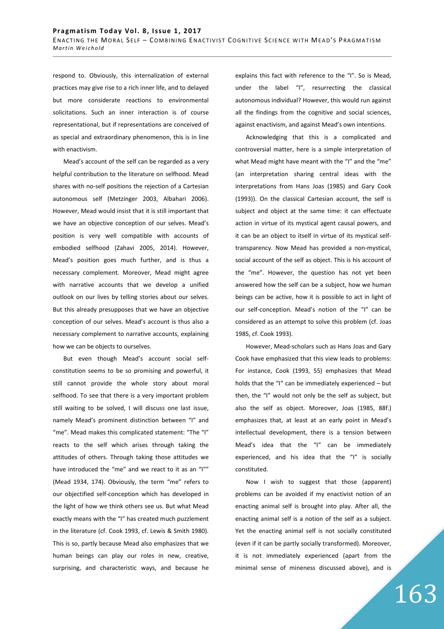respond to. Obviously, this internalization of external practices may give rise to a rich inner life, and to delayed but more considerate reactions to environmental solicitations. Such an inner interaction is of course representational, but if representations are conceived of as special and extraordinary phenomenon, this is in line with enactivism.

Mead's account of the self can be regarded as a very helpful contribution to the literature on selfhood. Mead shares with no-self positions the rejection of a Cartesian autonomous self (Metzinger 2003, Albahari 2006). However, Mead would insist that it is still important that we have an objective conception of our selves. Mead's position is very well compatible with accounts of embodied selfhood (Zahavi 2005, 2014). However, Mead's position goes much further, and is thus a necessary complement. Moreover, Mead might agree with narrative accounts that we develop a unified outlook on our lives by telling stories about our selves. But this already presupposes that we have an objective conception of our selves. Mead's account is thus also a necessary complement to narrative accounts, explaining how we can be objects to ourselves.

But even though Mead's account social selfconstitution seems to be so promising and powerful, it still cannot provide the whole story about moral selfhood. To see that there is a very important problem still waiting to be solved, I will discuss one last issue, namely Mead's prominent distinction between "I" and "me". Mead makes this complicated statement: "The "I" reacts to the self which arises through taking the attitudes of others. Through taking those attitudes we have introduced the "me" and we react to it as an "I"" (Mead 1934, 174). Obviously, the term "me" refers to our objectified self-conception which has developed in the light of how we think others see us. But what Mead exactly means with the "I" has created much puzzlement in the literature (cf. Cook 1993, cf. Lewis & Smith 1980). This is so, partly because Mead also emphasizes that we human beings can play our roles in new, creative, surprising, and characteristic ways, and because he explains this fact with reference to the "I". So is Mead, under the label "I", resurrecting the classical autonomous individual? However, this would run against all the findings from the cognitive and social sciences, against enactivism, and against Mead's own intentions.

Acknowledging that this is a complicated and controversial matter, here is a simple interpretation of what Mead might have meant with the "I" and the "me" (an interpretation sharing central ideas with the interpretations from Hans Joas (1985) and Gary Cook (1993)). On the classical Cartesian account, the self is subject and object at the same time: it can effectuate action in virtue of its mystical agent causal powers, and it can be an object to itself in virtue of its mystical selftransparency. Now Mead has provided a non-mystical, social account of the self as object. This is his account of the "me". However, the question has not yet been answered how the self can be a subject, how we human beings can be active, how it is possible to act in light of our self-conception. Mead's notion of the "I" can be considered as an attempt to solve this problem (cf. Joas 1985, cf. Cook 1993).

However, Mead-scholars such as Hans Joas and Gary Cook have emphasized that this view leads to problems: For instance, Cook (1993, 55) emphasizes that Mead holds that the "I" can be immediately experienced – but then, the "I" would not only be the self as subject, but also the self as object. Moreover, Joas (1985, 88f.) emphasizes that, at least at an early point in Mead's intellectual development, there is a tension between Mead's idea that the "I" can be immediately experienced, and his idea that the "I" is socially constituted.

Now I wish to suggest that those (apparent) problems can be avoided if my enactivist notion of an enacting animal self is brought into play. After all, the enacting animal self is a notion of the self as a subject. Yet the enacting animal self is not socially constituted (even if it can be partly socially transformed). Moreover, it is not immediately experienced (apart from the minimal sense of mineness discussed above), and is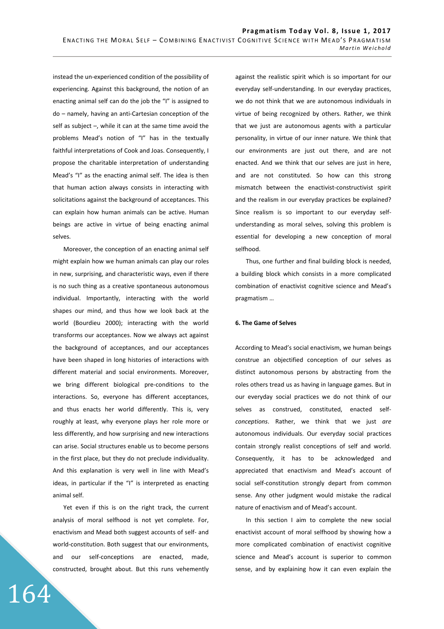instead the un-experienced condition of the possibility of experiencing. Against this background, the notion of an enacting animal self can do the job the "I" is assigned to do – namely, having an anti-Cartesian conception of the self as subject –, while it can at the same time avoid the problems Mead's notion of "I" has in the textually faithful interpretations of Cook and Joas. Consequently, I propose the charitable interpretation of understanding Mead's "I" as the enacting animal self. The idea is then that human action always consists in interacting with solicitations against the background of acceptances. This can explain how human animals can be active. Human beings are active in virtue of being enacting animal selves.

Moreover, the conception of an enacting animal self might explain how we human animals can play our roles in new, surprising, and characteristic ways, even if there is no such thing as a creative spontaneous autonomous individual. Importantly, interacting with the world shapes our mind, and thus how we look back at the world (Bourdieu 2000); interacting with the world transforms our acceptances. Now we always act against the background of acceptances, and our acceptances have been shaped in long histories of interactions with different material and social environments. Moreover, we bring different biological pre-conditions to the interactions. So, everyone has different acceptances, and thus enacts her world differently. This is, very roughly at least, why everyone plays her role more or less differently, and how surprising and new interactions can arise. Social structures enable us to become persons in the first place, but they do not preclude individuality. And this explanation is very well in line with Mead's ideas, in particular if the "I" is interpreted as enacting animal self.

Yet even if this is on the right track, the current analysis of moral selfhood is not yet complete. For, enactivism and Mead both suggest accounts of self- and world-constitution. Both suggest that our environments, and our self-conceptions are enacted, made, constructed, brought about. But this runs vehemently

164

against the realistic spirit which is so important for our everyday self-understanding. In our everyday practices, we do not think that we are autonomous individuals in virtue of being recognized by others. Rather, we think that we just are autonomous agents with a particular personality, in virtue of our inner nature. We think that our environments are just out there, and are not enacted. And we think that our selves are just in here, and are not constituted. So how can this strong mismatch between the enactivist-constructivist spirit and the realism in our everyday practices be explained? Since realism is so important to our everyday selfunderstanding as moral selves, solving this problem is essential for developing a new conception of moral selfhood.

Thus, one further and final building block is needed, a building block which consists in a more complicated combination of enactivist cognitive science and Mead's pragmatism …

# **6. The Game of Selves**

According to Mead's social enactivism, we human beings construe an objectified conception of our selves as distinct autonomous persons by abstracting from the roles others tread us as having in language games. But in our everyday social practices we do not think of our selves as construed, constituted, enacted self*conceptions*. Rather, we think that we just *are* autonomous individuals. Our everyday social practices contain strongly realist conceptions of self and world. Consequently, it has to be acknowledged and appreciated that enactivism and Mead's account of social self-constitution strongly depart from common sense. Any other judgment would mistake the radical nature of enactivism and of Mead's account.

In this section I aim to complete the new social enactivist account of moral selfhood by showing how a more complicated combination of enactivist cognitive science and Mead's account is superior to common sense, and by explaining how it can even explain the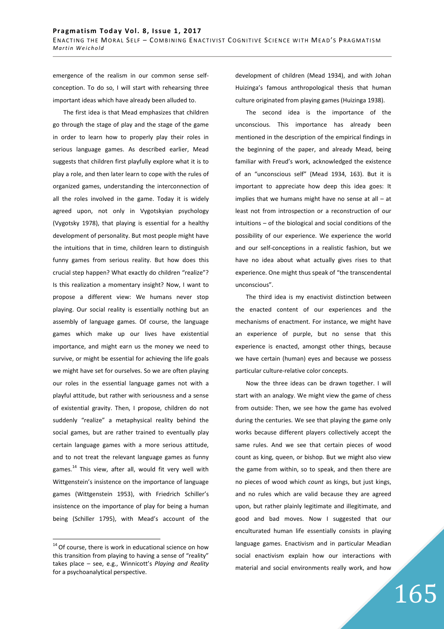emergence of the realism in our common sense selfconception. To do so, I will start with rehearsing three important ideas which have already been alluded to.

The first idea is that Mead emphasizes that children go through the stage of play and the stage of the game in order to learn how to properly play their roles in serious language games. As described earlier, Mead suggests that children first playfully explore what it is to play a role, and then later learn to cope with the rules of organized games, understanding the interconnection of all the roles involved in the game. Today it is widely agreed upon, not only in Vygotskyian psychology (Vygotsky 1978), that playing is essential for a healthy development of personality. But most people might have the intuitions that in time, children learn to distinguish funny games from serious reality. But how does this crucial step happen? What exactly do children "realize"? Is this realization a momentary insight? Now, I want to propose a different view: We humans never stop playing. Our social reality is essentially nothing but an assembly of language games. Of course, the language games which make up our lives have existential importance, and might earn us the money we need to survive, or might be essential for achieving the life goals we might have set for ourselves. So we are often playing our roles in the essential language games not with a playful attitude, but rather with seriousness and a sense of existential gravity. Then, I propose, children do not suddenly "realize" a metaphysical reality behind the social games, but are rather trained to eventually play certain language games with a more serious attitude, and to not treat the relevant language games as funny games.<sup>14</sup> This view, after all, would fit very well with Wittgenstein's insistence on the importance of language games (Wittgenstein 1953), with Friedrich Schiller's insistence on the importance of play for being a human being (Schiller 1795), with Mead's account of the

 $14$  Of course, there is work in educational science on how this transition from playing to having a sense of "reality" takes place – see, e.g., Winnicott's *Playing and Reality* for a psychoanalytical perspective.

 $\overline{a}$ 

development of children (Mead 1934), and with Johan Huizinga's famous anthropological thesis that human culture originated from playing games (Huizinga 1938).

The second idea is the importance of the unconscious. This importance has already been mentioned in the description of the empirical findings in the beginning of the paper, and already Mead, being familiar with Freud's work, acknowledged the existence of an "unconscious self" (Mead 1934, 163). But it is important to appreciate how deep this idea goes: It implies that we humans might have no sense at all  $-$  at least not from introspection or a reconstruction of our intuitions – of the biological and social conditions of the possibility of our experience. We experience the world and our self-conceptions in a realistic fashion, but we have no idea about what actually gives rises to that experience. One might thus speak of "the transcendental unconscious".

The third idea is my enactivist distinction between the enacted content of our experiences and the mechanisms of enactment. For instance, we might have an experience of purple, but no sense that this experience is enacted, amongst other things, because we have certain (human) eyes and because we possess particular culture-relative color concepts.

Now the three ideas can be drawn together. I will start with an analogy. We might view the game of chess from outside: Then, we see how the game has evolved during the centuries. We see that playing the game only works because different players collectively accept the same rules. And we see that certain pieces of wood count as king, queen, or bishop. But we might also view the game from within, so to speak, and then there are no pieces of wood which *count* as kings, but just kings, and no rules which are valid because they are agreed upon, but rather plainly legitimate and illegitimate, and good and bad moves. Now I suggested that our enculturated human life essentially consists in playing language games. Enactivism and in particular Meadian social enactivism explain how our interactions with material and social environments really work, and how

165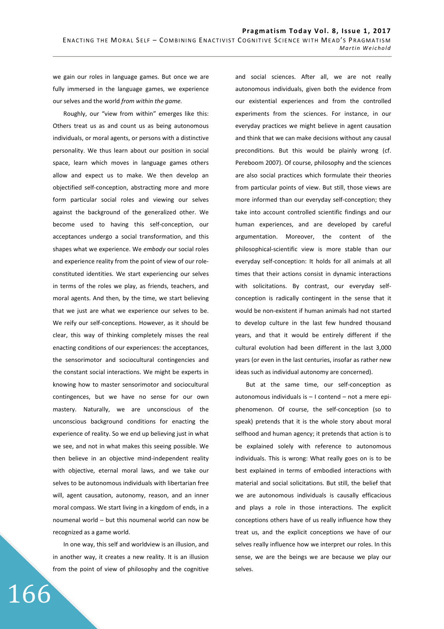we gain our roles in language games. But once we are fully immersed in the language games, we experience our selves and the world *from within the game.* 

Roughly, our "view from within" emerges like this: Others treat us as and count us as being autonomous individuals, or moral agents, or persons with a distinctive personality. We thus learn about our position in social space, learn which moves in language games others allow and expect us to make. We then develop an objectified self-conception, abstracting more and more form particular social roles and viewing our selves against the background of the generalized other. We become used to having this self-conception, our acceptances undergo a social transformation, and this shapes what we experience. We *embody* our social roles and experience reality from the point of view of our roleconstituted identities. We start experiencing our selves in terms of the roles we play, as friends, teachers, and moral agents. And then, by the time, we start believing that we just are what we experience our selves to be. We reify our self-conceptions. However, as it should be clear, this way of thinking completely misses the real enacting conditions of our experiences: the acceptances, the sensorimotor and sociocultural contingencies and the constant social interactions. We might be experts in knowing how to master sensorimotor and sociocultural contingences, but we have no sense for our own mastery. Naturally, we are unconscious of the unconscious background conditions for enacting the experience of reality. So we end up believing just in what we see, and not in what makes this seeing possible. We then believe in an objective mind-independent reality with objective, eternal moral laws, and we take our selves to be autonomous individuals with libertarian free will, agent causation, autonomy, reason, and an inner moral compass. We start living in a kingdom of ends, in a noumenal world – but this noumenal world can now be recognized as a game world.

In one way, this self and worldview is an illusion, and in another way, it creates a new reality. It is an illusion from the point of view of philosophy and the cognitive

166

and social sciences. After all, we are not really autonomous individuals, given both the evidence from our existential experiences and from the controlled experiments from the sciences. For instance, in our everyday practices we might believe in agent causation and think that we can make decisions without any causal preconditions. But this would be plainly wrong (cf. Pereboom 2007). Of course, philosophy and the sciences are also social practices which formulate their theories from particular points of view. But still, those views are more informed than our everyday self-conception; they take into account controlled scientific findings and our human experiences, and are developed by careful argumentation. Moreover, the content of the philosophical-scientific view is more stable than our everyday self-conception: It holds for all animals at all times that their actions consist in dynamic interactions with solicitations. By contrast, our everyday selfconception is radically contingent in the sense that it would be non-existent if human animals had not started to develop culture in the last few hundred thousand years, and that it would be entirely different if the cultural evolution had been different in the last 3,000 years (or even in the last centuries, insofar as rather new ideas such as individual autonomy are concerned).

But at the same time, our self-conception as autonomous individuals is – I contend – not a mere epiphenomenon. Of course, the self-conception (so to speak) pretends that it is the whole story about moral selfhood and human agency; it pretends that action is to be explained solely with reference to autonomous individuals. This is wrong: What really goes on is to be best explained in terms of embodied interactions with material and social solicitations. But still, the belief that we are autonomous individuals is causally efficacious and plays a role in those interactions. The explicit conceptions others have of us really influence how they treat us, and the explicit conceptions we have of our selves really influence how we interpret our roles. In this sense, we are the beings we are because we play our selves.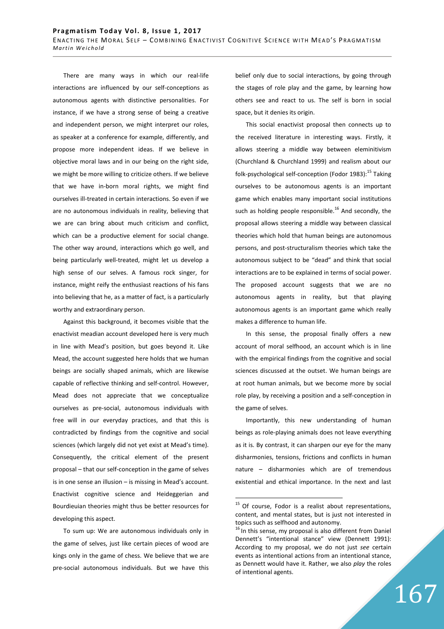There are many ways in which our real-life interactions are influenced by our self-conceptions as autonomous agents with distinctive personalities. For instance, if we have a strong sense of being a creative and independent person, we might interpret our roles, as speaker at a conference for example, differently, and propose more independent ideas. If we believe in objective moral laws and in our being on the right side, we might be more willing to criticize others. If we believe that we have in-born moral rights, we might find ourselves ill-treated in certain interactions. So even if we are no autonomous individuals in reality, believing that we are can bring about much criticism and conflict, which can be a productive element for social change. The other way around, interactions which go well, and being particularly well-treated, might let us develop a high sense of our selves. A famous rock singer, for instance, might reify the enthusiast reactions of his fans into believing that he, as a matter of fact, is a particularly worthy and extraordinary person.

Against this background, it becomes visible that the enactivist meadian account developed here is very much in line with Mead's position, but goes beyond it. Like Mead, the account suggested here holds that we human beings are socially shaped animals, which are likewise capable of reflective thinking and self-control. However, Mead does not appreciate that we conceptualize ourselves as pre-social, autonomous individuals with free will in our everyday practices, and that this is contradicted by findings from the cognitive and social sciences (which largely did not yet exist at Mead's time). Consequently, the critical element of the present proposal – that our self-conception in the game of selves is in one sense an illusion – is missing in Mead's account. Enactivist cognitive science and Heideggerian and Bourdieuian theories might thus be better resources for developing this aspect.

To sum up: We are autonomous individuals only in the game of selves, just like certain pieces of wood are kings only in the game of chess. We believe that we are pre-social autonomous individuals. But we have this belief only due to social interactions, by going through the stages of role play and the game, by learning how others see and react to us. The self is born in social space, but it denies its origin.

This social enactivist proposal then connects up to the received literature in interesting ways. Firstly, it allows steering a middle way between eleminitivism (Churchland & Churchland 1999) and realism about our folk-psychological self-conception (Fodor 1983): $^{15}$  Taking ourselves to be autonomous agents is an important game which enables many important social institutions such as holding people responsible.<sup>16</sup> And secondly, the proposal allows steering a middle way between classical theories which hold that human beings are autonomous persons, and post-structuralism theories which take the autonomous subject to be "dead" and think that social interactions are to be explained in terms of social power. The proposed account suggests that we are no autonomous agents in reality, but that playing autonomous agents is an important game which really makes a difference to human life.

In this sense, the proposal finally offers a new account of moral selfhood, an account which is in line with the empirical findings from the cognitive and social sciences discussed at the outset. We human beings are at root human animals, but we become more by social role play, by receiving a position and a self-conception in the game of selves.

Importantly, this new understanding of human beings as role-playing animals does not leave everything as it is. By contrast, it can sharpen our eye for the many disharmonies, tensions, frictions and conflicts in human nature – disharmonies which are of tremendous existential and ethical importance. In the next and last

 $\overline{a}$ 

 $15$  Of course, Fodor is a realist about representations, content, and mental states, but is just not interested in topics such as selfhood and autonomy.

 $16$  In this sense, my proposal is also different from Daniel Dennett's "intentional stance" view (Dennett 1991): According to my proposal, we do not just *see* certain events as intentional actions from an intentional stance, as Dennett would have it. Rather, we also *play* the roles of intentional agents.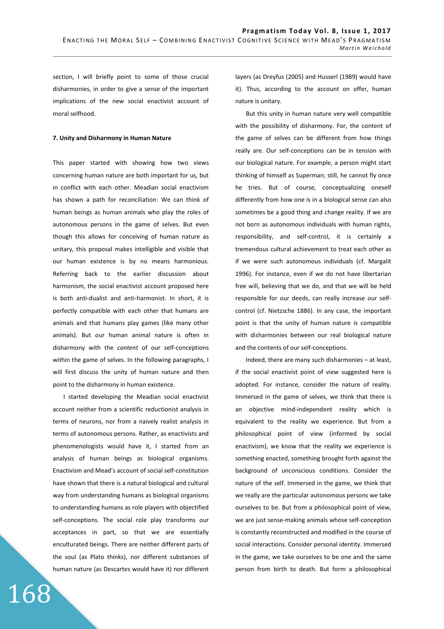section, I will briefly point to some of those crucial disharmonies, in order to give a sense of the important implications of the new social enactivist account of moral selfhood.

### **7. Unity and Disharmony in Human Nature**

This paper started with showing how two views concerning human nature are both important for us, but in conflict with each other. Meadian social enactivism has shown a path for reconciliation: We can think of human beings as human animals who play the roles of autonomous persons in the game of selves. But even though this allows for conceiving of human nature as unitary, this proposal makes intelligible and visible that our human existence is by no means harmonious. Referring back to the earlier discussion about harmonism, the social enactivist account proposed here is both anti-dualist and anti-harmonist. In short, it is perfectly compatible with each other that humans are animals and that humans play games (like many other animals). But our human animal nature is often in disharmony with the *content* of our self-conceptions within the game of selves. In the following paragraphs, I will first discuss the unity of human nature and then point to the disharmony in human existence.

I started developing the Meadian social enactivist account neither from a scientific reductionist analysis in terms of neurons, nor from a naively realist analysis in terms of autonomous persons. Rather, as enactivists and phenomenologists would have it, I started from an analysis of human beings as biological organisms. Enactivism and Mead's account of social self-constitution have shown that there is a natural biological and cultural way from understanding humans as biological organisms to understanding humans as role players with objectified self-conceptions. The social role play transforms our acceptances in part, so that we are essentially enculturated beings. There are neither different parts of the soul (as Plato thinks), nor different substances of human nature (as Descartes would have it) nor different

168

layers (as Dreyfus (2005) and Husserl (1989) would have it). Thus, according to the account on offer, human nature is unitary.

But this unity in human nature very well compatible with the possibility of disharmony. For, the content of the game of selves can be different from how things really are. Our self-conceptions can be in tension with our biological nature. For example, a person might start thinking of himself as Superman; still, he cannot fly once he tries. But of course, conceptualizing oneself differently from how one is in a biological sense can also sometimes be a good thing and change reality. If we are not born as autonomous individuals with human rights, responsibility, and self-control, it is certainly a tremendous cultural achievement to treat each other as if we were such autonomous individuals (cf. Margalit 1996). For instance, even if we do not have libertarian free will, believing that we do, and that we will be held responsible for our deeds, can really increase our selfcontrol (cf. Nietzsche 1886). In any case, the important point is that the unity of human nature is compatible with disharmonies between our real biological nature and the contents of our self-conceptions.

Indeed, there are many such disharmonies – at least, if the social enactivist point of view suggested here is adopted. For instance, consider the nature of reality. Immersed in the game of selves, we think that there is an objective mind-independent reality which is equivalent to the reality we experience. But from a philosophical point of view (informed by social enactivism), we know that the reality we experience is something enacted, something brought forth against the background of unconscious conditions. Consider the nature of the self. Immersed in the game, we think that we really are the particular autonomous persons we take ourselves to be. But from a philosophical point of view, we are just sense-making animals whose self-conception is constantly reconstructed and modified in the course of social interactions. Consider personal identity. Immersed in the game, we take ourselves to be one and the same person from birth to death. But form a philosophical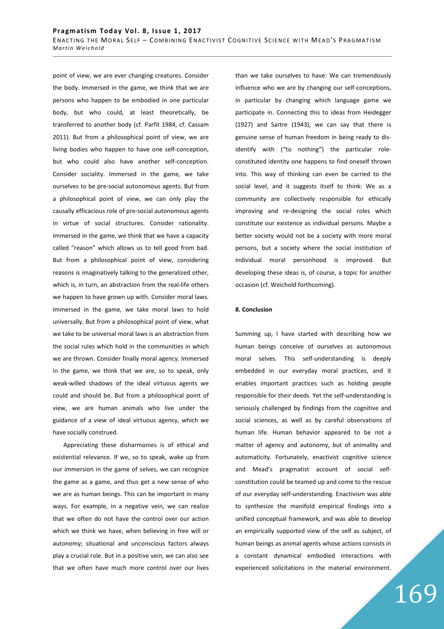point of view, we are ever changing creatures. Consider the body. Immersed in the game, we think that we are persons who happen to be embodied in one particular body, but who could, at least theoretically, be transferred to another body (cf. Parfit 1984, cf. Cassam 2011). But from a philosophical point of view, we are living bodies who happen to have one self-conception, but who could also have another self-conception. Consider sociality. Immersed in the game, we take ourselves to be pre-social autonomous agents. But from a philosophical point of view, we can only play the causally efficacious role of pre-social autonomous agents in virtue of social structures. Consider rationality. Immersed in the game, we think that we have a capacity called "reason" which allows us to tell good from bad. But from a philosophical point of view, considering reasons is imaginatively talking to the generalized other, which is, in turn, an abstraction from the real-life others we happen to have grown up with. Consider moral laws. Immersed in the game, we take moral laws to hold universally. But from a philosophical point of view, what we take to be universal moral laws is an abstraction from the social rules which hold in the communities in which we are thrown. Consider finally moral agency. Immersed in the game, we think that we are, so to speak, only weak-willed shadows of the ideal virtuous agents we could and should be. But from a philosophical point of view, we are human animals who live under the guidance of a view of ideal virtuous agency, which we have socially construed.

Appreciating these disharmonies is of ethical and existential relevance. If we, so to speak, wake up from our immersion in the game of selves, we can recognize the game as a game, and thus get a new sense of who we are as human beings. This can be important in many ways. For example, in a negative vein, we can realize that we often do not have the control over our action which we think we have, when believing in free will or autonomy; situational and unconscious factors always play a crucial role. But in a positive vein, we can also see that we often have much more control over our lives than we take ourselves to have: We can tremendously influence who we are by changing our self-conceptions, in particular by changing which language game we participate in. Connecting this to ideas from Heidegger (1927) and Sartre (1943), we can say that there is genuine sense of human freedom in being ready to disidentify with ("to nothing") the particular roleconstituted identity one happens to find oneself thrown into. This way of thinking can even be carried to the social level, and it suggests itself to think: We as a community are collectively responsible for ethically improving and re-designing the social roles which constitute our existence as individual persons. Maybe a better society would not be a society with more moral persons, but a society where the social institution of individual moral personhood is improved. But developing these ideas is, of course, a topic for another occasion (cf. Weichold forthcoming).

#### **8. Conclusion**

Summing up, I have started with describing how we human beings conceive of ourselves as autonomous moral selves. This self-understanding is deeply embedded in our everyday moral practices, and it enables important practices such as holding people responsible for their deeds. Yet the self-understanding is seriously challenged by findings from the cognitive and social sciences, as well as by careful observations of human life. Human behavior appeared to be not a matter of agency and autonomy, but of animality and automaticity. Fortunately, enactivist cognitive science and Mead's pragmatist account of social selfconstitution could be teamed up and come to the rescue of our everyday self-understanding. Enactivism was able to synthesize the manifold empirical findings into a unified conceptual framework, and was able to develop an empirically supported view of the self as subject, of human beings as animal agents whose actions consists in a constant dynamical embodied interactions with experienced solicitations in the material environment.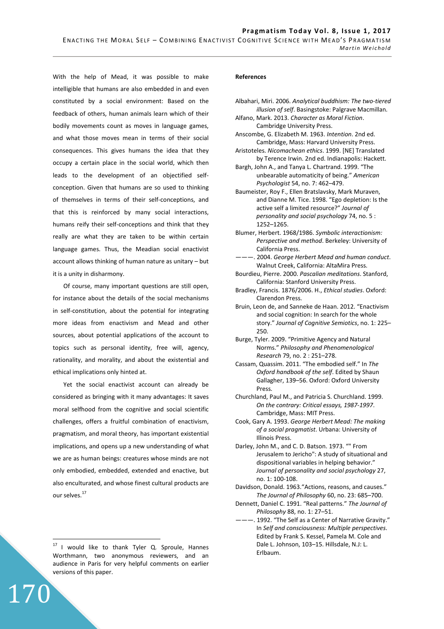With the help of Mead, it was possible to make intelligible that humans are also embedded in and even constituted by a social environment: Based on the feedback of others, human animals learn which of their bodily movements count as moves in language games, and what those moves mean in terms of their social consequences. This gives humans the idea that they occupy a certain place in the social world, which then leads to the development of an objectified selfconception. Given that humans are so used to thinking of themselves in terms of their self-conceptions, and that this is reinforced by many social interactions, humans reify their self-conceptions and think that they really are what they are taken to be within certain language games. Thus, the Meadian social enactivist account allows thinking of human nature as unitary – but it is a unity in disharmony.

Of course, many important questions are still open, for instance about the details of the social mechanisms in self-constitution, about the potential for integrating more ideas from enactivism and Mead and other sources, about potential applications of the account to topics such as personal identity, free will, agency, rationality, and morality, and about the existential and ethical implications only hinted at.

Yet the social enactivist account can already be considered as bringing with it many advantages: It saves moral selfhood from the cognitive and social scientific challenges, offers a fruitful combination of enactivism, pragmatism, and moral theory, has important existential implications, and opens up a new understanding of what we are as human beings: creatures whose minds are not only embodied, embedded, extended and enactive, but also enculturated, and whose finest cultural products are our selves.<sup>17</sup>

170

 $\overline{a}$ 

# **References**

- Albahari, Miri. 2006. *Analytical buddhism: The two-tiered illusion of self*. Basingstoke: Palgrave Macmillan. Alfano, Mark. 2013. *Character as Moral Fiction*.
- Cambridge University Press. Anscombe, G. Elizabeth M. 1963. *Intention*. 2nd ed.
- Cambridge, Mass: Harvard University Press. Aristoteles. *Nicomachean ethics*. 1999. [NE] Translated
- by Terence Irwin. 2nd ed. Indianapolis: Hackett.
- Bargh, John A., and Tanya L. Chartrand. 1999. "The unbearable automaticity of being." *American Psychologist* 54, no. 7: 462–479.
- Baumeister, Roy F., Ellen Bratslavsky, Mark Muraven, and Dianne M. Tice. 1998. "Ego depletion: Is the active self a limited resource?" *Journal of personality and social psychology* 74, no. 5 : 1252–1265.
- Blumer, Herbert. 1968/1986. *Symbolic interactionism: Perspective and method*. Berkeley: University of California Press.
- ———. 2004. *George Herbert Mead and human conduct*. Walnut Creek, California: AltaMira Press.
- Bourdieu, Pierre. 2000. *Pascalian meditations*. Stanford, California: Stanford University Press.
- Bradley, Francis. 1876/2006. H., *Ethical studies*. Oxford: Clarendon Press.
- Bruin, Leon de, and Sanneke de Haan. 2012. "Enactivism and social cognition: In search for the whole story." *Journal of Cognitive Semiotics*, no. 1: 225– 250.
- Burge, Tyler. 2009. "Primitive Agency and Natural Norms." *Philosophy and Phenomenological Research* 79, no. 2 : 251–278.
- Cassam, Quassim. 2011. "The embodied self." In *The Oxford handbook of the self*. Edited by Shaun Gallagher, 139–56. Oxford: Oxford University Press.
- Churchland, Paul M., and Patricia S. Churchland. 1999. *On the contrary: Critical essays, 1987-1997*. Cambridge, Mass: MIT Press.
- Cook, Gary A. 1993. *George Herbert Mead: The making of a social pragmatist*. Urbana: University of Illinois Press.
- Darley, John M., and C. D. Batson. 1973. "" From Jerusalem to Jericho": A study of situational and dispositional variables in helping behavior." *Journal of personality and social psychology* 27, no. 1: 100-108.
- Davidson, Donald. 1963."Actions, reasons, and causes." *The Journal of Philosophy* 60, no. 23: 685–700.
- Dennett, Daniel C. 1991. "Real patterns." *The Journal of Philosophy* 88, no. 1: 27–51.
- -. 1992. "The Self as a Center of Narrative Gravity." In *Self and consciousness: Multiple perspectives*. Edited by Frank S. Kessel, Pamela M. Cole and Dale L. Johnson, 103–15. Hillsdale, N.J: L. Erlbaum.

 $17$  I would like to thank Tyler Q. Sproule, Hannes Worthmann, two anonymous reviewers, and an audience in Paris for very helpful comments on earlier versions of this paper.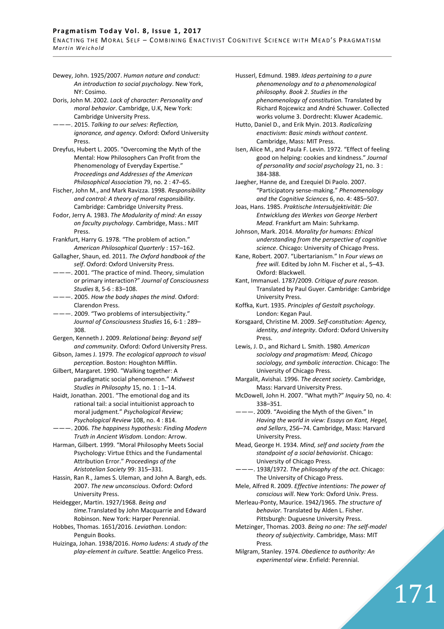# Pragmatism Today Vol. 8, Issue 1, 2017

ENACTING THE MORAL SELF - COMBINING ENACTIVIST COGNITIVE SCIENCE WITH MEAD'S PRAGMATISM *M a r t i n W e i c h o l d* 

Dewey, John. 1925/2007. *Human nature and conduct: An introduction to social psychology*. New York, NY: Cosimo.

Doris, John M. 2002. *Lack of character: Personality and moral behavior*. Cambridge, U.K, New York: Cambridge University Press.

———. 2015. *Talking to our selves: Reflection, ignorance, and agency*. Oxford: Oxford University Press.

Dreyfus, Hubert L. 2005. "Overcoming the Myth of the Mental: How Philosophers Can Profit from the Phenomenology of Everyday Expertise." *Proceedings and Addresses of the American Philosophical Association* 79, no. 2 : 47–65.

Fischer, John M., and Mark Ravizza. 1998. *Responsibility and control: A theory of moral responsibility*. Cambridge: Cambridge University Press.

- Fodor, Jerry A. 1983. *The Modularity of mind: An essay on faculty psychology*. Cambridge, Mass.: MIT Press.
- Frankfurt, Harry G. 1978. "The problem of action." *American Philosophical Quarterly* : 157–162.
- Gallagher, Shaun, ed. 2011. *The Oxford handbook of the self*. Oxford: Oxford University Press.

———. 2001. "The practice of mind. Theory, simulation or primary interaction?" *Journal of Consciousness Studies* 8, 5-6 : 83–108.

———. 2005. *How the body shapes the mind*. Oxford: Clarendon Press.

---. 2009. "Two problems of intersubjectivity." *Journal of Consciousness Studies* 16, 6-1 : 289– 308.

- Gergen, Kenneth J. 2009. *Relational being: Beyond self and community*. Oxford: Oxford University Press.
- Gibson, James J. 1979. *The ecological approach to visual perception*. Boston: Houghton Mifflin.
- Gilbert, Margaret. 1990. "Walking together: A paradigmatic social phenomenon." *Midwest Studies in Philosophy* 15, no. 1 : 1–14.

Haidt, Jonathan. 2001. "The emotional dog and its rational tail: a social intuitionist approach to moral judgment." *Psychological Review; Psychological Review* 108, no. 4 : 814.

———. 2006. *The happiness hypothesis: Finding Modern Truth in Ancient Wisdom*. London: Arrow.

Harman, Gilbert. 1999. "Moral Philosophy Meets Social Psychology: Virtue Ethics and the Fundamental Attribution Error." *Proceedings of the Aristotelian Society* 99: 315–331.

Hassin, Ran R., James S. Uleman, and John A. Bargh, eds. 2007. *The new unconscious*. Oxford: Oxford University Press.

Heidegger, Martin. 1927/1968. *Being and time.*Translated by John Macquarrie and Edward Robinson. New York: Harper Perennial.

Hobbes, Thomas. 1651/2016. *Leviathan*. London: Penguin Books.

Huizinga, Johan. 1938/2016. *Homo ludens: A study of the play-element in culture*. Seattle: Angelico Press.

- Husserl, Edmund. 1989. *Ideas pertaining to a pure phenomenology and to a phenomenological philosophy. Book 2. Studies in the phenomenology of constitution.* Translated by Richard Rojcewicz and André Schuwer. Collected works volume 3. Dordrecht: Kluwer Academic.
- Hutto, Daniel D., and Erik Myin. 2013. *Radicalizing enactivism: Basic minds without content*. Cambridge, Mass: MIT Press.
- Isen, Alice M., and Paula F. Levin. 1972. "Effect of feeling good on helping: cookies and kindness." *Journal of personality and social psychology* 21, no. 3 : 384-388.

Jaegher, Hanne de, and Ezequiel Di Paolo. 2007. "Participatory sense-making." *Phenomenology and the Cognitive Sciences* 6, no. 4: 485–507.

Joas, Hans. 1985. *Praktische Intersubjektivität: Die Entwicklung des Werkes von George Herbert Mead.* Frankfurt am Main: Suhrkamp.

Johnson, Mark. 2014. *Morality for humans: Ethical understanding from the perspective of cognitive science*. Chicago: University of Chicago Press.

Kane, Robert. 2007. "Libertarianism." In *Four views on free will*. Edited by John M. Fischer et al., 5–43. Oxford: Blackwell.

Kant, Immanuel. 1787/2009. *Critique of pure reason*. Translated by Paul Guyer. Cambridge: Cambridge University Press.

- Koffka, Kurt. 1935. *Principles of Gestalt psychology*. London: Kegan Paul.
- Korsgaard, Christine M. 2009. *Self-constitution: Agency, identity, and integrity*. Oxford: Oxford University Press.

Lewis, J. D., and Richard L. Smith. 1980. *American sociology and pragmatism: Mead, Chicago sociology, and symbolic interaction*. Chicago: The University of Chicago Press.

- Margalit, Avishai. 1996. *The decent society*. Cambridge, Mass: Harvard University Press.
- McDowell, John H. 2007. "What myth?" *Inquiry* 50, no. 4: 338–351.
- ———. 2009. "Avoiding the Myth of the Given." In *Having the world in view: Essays on Kant, Hegel, and Sellars*, 256–74. Cambridge, Mass: Harvard University Press.

Mead, George H. 1934. *Mind, self and society from the standpoint of a social behaviorist*. Chicago: University of Chicago Press.

- ———. 1938/1972. *The philosophy of the act*. Chicago: The University of Chicago Press.
- Mele, Alfred R. 2009. *Effective intentions: The power of conscious will*. New York: Oxford Univ. Press.
- Merleau-Ponty, Maurice. 1942/1965. *The structure of behavior.* Translated by Alden L. Fisher. Pittsburgh: Duguesne University Press.
- Metzinger, Thomas. 2003. *Being no one: The self-model theory of subjectivity*. Cambridge, Mass: MIT Press.

171

Milgram, Stanley. 1974. *Obedience to authority: An experimental view*. Enfield: Perennial.